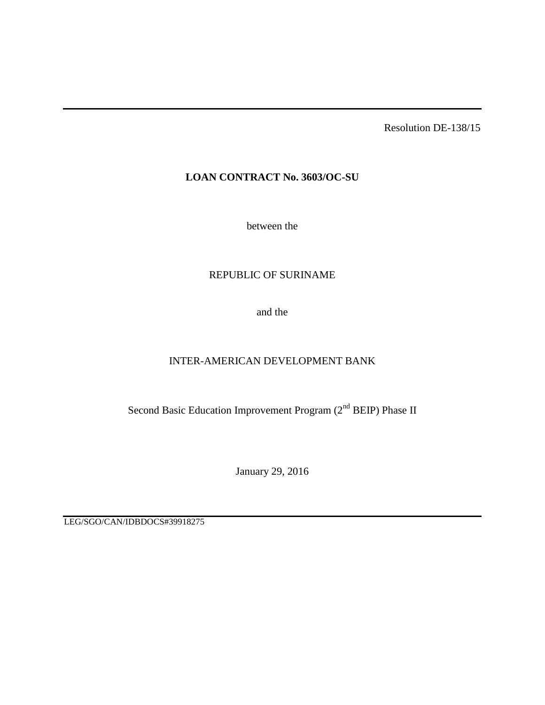Resolution DE-138/15

# **LOAN CONTRACT No. 3603/OC-SU**

between the

# REPUBLIC OF SURINAME

and the

# INTER-AMERICAN DEVELOPMENT BANK

Second Basic Education Improvement Program (2<sup>nd</sup> BEIP) Phase II

January 29, 2016

LEG/SGO/CAN/IDBDOCS#39918275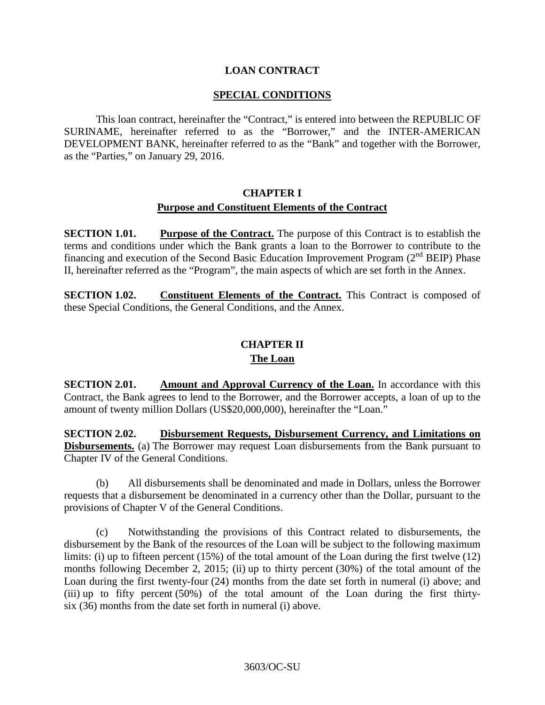## **LOAN CONTRACT**

### **SPECIAL CONDITIONS**

This loan contract, hereinafter the "Contract," is entered into between the REPUBLIC OF SURINAME*,* hereinafter referred to as the "Borrower," and the INTER-AMERICAN DEVELOPMENT BANK, hereinafter referred to as the "Bank" and together with the Borrower, as the "Parties," on January 29, 2016.

# **CHAPTER I Purpose and Constituent Elements of the Contract**

**SECTION 1.01. Purpose of the Contract.** The purpose of this Contract is to establish the terms and conditions under which the Bank grants a loan to the Borrower to contribute to the financing and execution of the Second Basic Education Improvement Program  $(2^{nd}$  BEIP) Phase II, hereinafter referred as the "Program", the main aspects of which are set forth in the Annex.

**SECTION 1.02. Constituent Elements of the Contract.** This Contract is composed of these Special Conditions, the General Conditions, and the Annex.

# **CHAPTER II**

### **The Loan**

**SECTION 2.01.** Amount and Approval Currency of the Loan. In accordance with this Contract, the Bank agrees to lend to the Borrower, and the Borrower accepts, a loan of up to the amount of twenty million Dollars (US\$20,000,000), hereinafter the "Loan."

**SECTION 2.02. Disbursement Requests, Disbursement Currency, and Limitations on Disbursements.** (a) The Borrower may request Loan disbursements from the Bank pursuant to Chapter IV of the General Conditions.

(b) All disbursements shall be denominated and made in Dollars, unless the Borrower requests that a disbursement be denominated in a currency other than the Dollar, pursuant to the provisions of Chapter V of the General Conditions.

(c) Notwithstanding the provisions of this Contract related to disbursements, the disbursement by the Bank of the resources of the Loan will be subject to the following maximum limits: (i) up to fifteen percent (15%) of the total amount of the Loan during the first twelve (12) months following December 2, 2015; (ii) up to thirty percent (30%) of the total amount of the Loan during the first twenty-four (24) months from the date set forth in numeral (i) above; and (iii) up to fifty percent  $(50%)$  of the total amount of the Loan during the first thirtysix (36) months from the date set forth in numeral (i) above.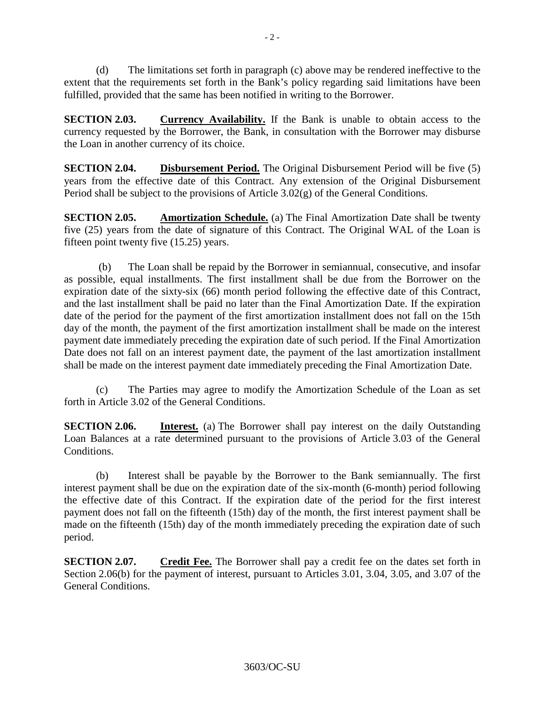(d) The limitations set forth in paragraph (c) above may be rendered ineffective to the extent that the requirements set forth in the Bank's policy regarding said limitations have been fulfilled, provided that the same has been notified in writing to the Borrower.

**SECTION 2.03. Currency Availability.** If the Bank is unable to obtain access to the currency requested by the Borrower, the Bank, in consultation with the Borrower may disburse the Loan in another currency of its choice.

**SECTION 2.04. Disbursement Period.** The Original Disbursement Period will be five (5) years from the effective date of this Contract. Any extension of the Original Disbursement Period shall be subject to the provisions of Article 3.02(g) of the General Conditions.

**SECTION 2.05. Amortization Schedule.** (a) The Final Amortization Date shall be twenty five (25) years from the date of signature of this Contract. The Original WAL of the Loan is fifteen point twenty five (15.25) years.

(b) The Loan shall be repaid by the Borrower in semiannual, consecutive, and insofar as possible, equal installments. The first installment shall be due from the Borrower on the expiration date of the sixty-six (66) month period following the effective date of this Contract, and the last installment shall be paid no later than the Final Amortization Date. If the expiration date of the period for the payment of the first amortization installment does not fall on the 15th day of the month, the payment of the first amortization installment shall be made on the interest payment date immediately preceding the expiration date of such period. If the Final Amortization Date does not fall on an interest payment date, the payment of the last amortization installment shall be made on the interest payment date immediately preceding the Final Amortization Date.

(c) The Parties may agree to modify the Amortization Schedule of the Loan as set forth in Article 3.02 of the General Conditions.

**SECTION 2.06. Interest.** (a) The Borrower shall pay interest on the daily Outstanding Loan Balances at a rate determined pursuant to the provisions of Article 3.03 of the General Conditions.

(b) Interest shall be payable by the Borrower to the Bank semiannually. The first interest payment shall be due on the expiration date of the six-month (6-month) period following the effective date of this Contract. If the expiration date of the period for the first interest payment does not fall on the fifteenth (15th) day of the month, the first interest payment shall be made on the fifteenth (15th) day of the month immediately preceding the expiration date of such period.

**SECTION 2.07. Credit Fee.** The Borrower shall pay a credit fee on the dates set forth in Section 2.06(b) for the payment of interest, pursuant to Articles 3.01, 3.04, 3.05, and 3.07 of the General Conditions.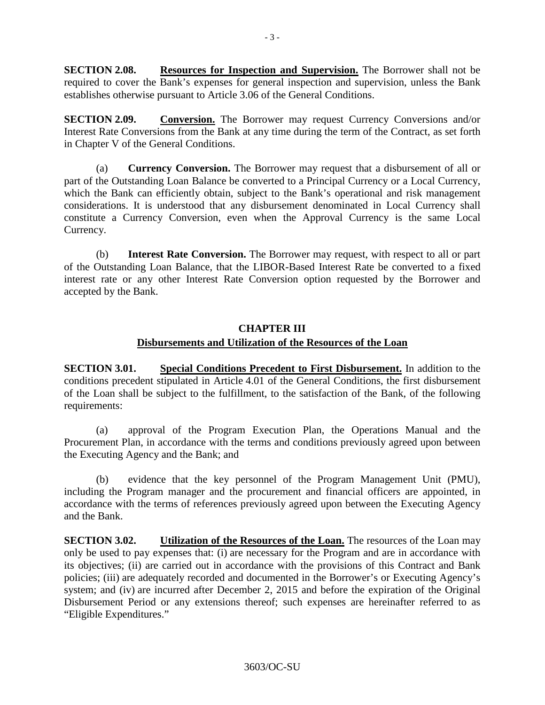**SECTION 2.08. Resources for Inspection and Supervision.** The Borrower shall not be required to cover the Bank's expenses for general inspection and supervision, unless the Bank establishes otherwise pursuant to Article 3.06 of the General Conditions.

**SECTION 2.09. Conversion.** The Borrower may request Currency Conversions and/or Interest Rate Conversions from the Bank at any time during the term of the Contract, as set forth in Chapter V of the General Conditions.

(a) **Currency Conversion.** The Borrower may request that a disbursement of all or part of the Outstanding Loan Balance be converted to a Principal Currency or a Local Currency, which the Bank can efficiently obtain, subject to the Bank's operational and risk management considerations. It is understood that any disbursement denominated in Local Currency shall constitute a Currency Conversion, even when the Approval Currency is the same Local Currency.

(b) **Interest Rate Conversion.** The Borrower may request, with respect to all or part of the Outstanding Loan Balance, that the LIBOR-Based Interest Rate be converted to a fixed interest rate or any other Interest Rate Conversion option requested by the Borrower and accepted by the Bank.

# **CHAPTER III Disbursements and Utilization of the Resources of the Loan**

**SECTION 3.01. Special Conditions Precedent to First Disbursement.** In addition to the conditions precedent stipulated in Article 4.01 of the General Conditions, the first disbursement of the Loan shall be subject to the fulfillment, to the satisfaction of the Bank, of the following requirements:

(a) approval of the Program Execution Plan, the Operations Manual and the Procurement Plan, in accordance with the terms and conditions previously agreed upon between the Executing Agency and the Bank; and

(b) evidence that the key personnel of the Program Management Unit (PMU), including the Program manager and the procurement and financial officers are appointed, in accordance with the terms of references previously agreed upon between the Executing Agency and the Bank.

**SECTION 3.02. Utilization of the Resources of the Loan.** The resources of the Loan may only be used to pay expenses that: (i) are necessary for the Program and are in accordance with its objectives; (ii) are carried out in accordance with the provisions of this Contract and Bank policies; (iii) are adequately recorded and documented in the Borrower's or Executing Agency's system; and (iv) are incurred after December 2, 2015 and before the expiration of the Original Disbursement Period or any extensions thereof; such expenses are hereinafter referred to as "Eligible Expenditures."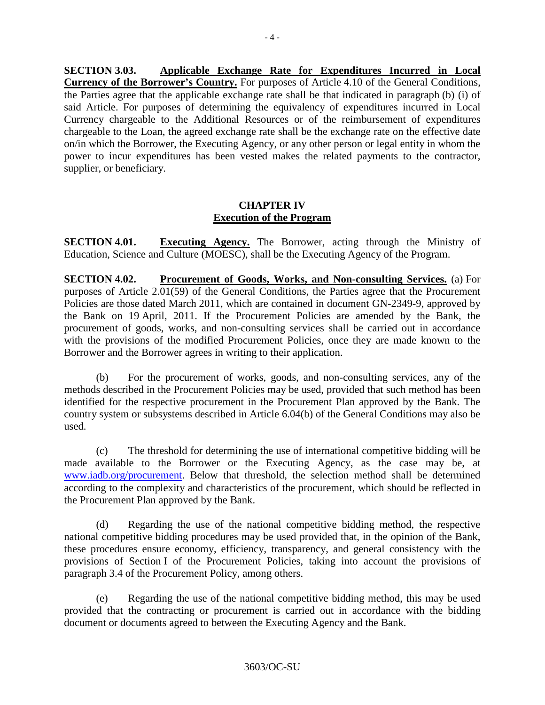**SECTION 3.03. Applicable Exchange Rate for Expenditures Incurred in Local Currency of the Borrower's Country.** For purposes of Article 4.10 of the General Conditions, the Parties agree that the applicable exchange rate shall be that indicated in paragraph (b) (i) of said Article. For purposes of determining the equivalency of expenditures incurred in Local Currency chargeable to the Additional Resources or of the reimbursement of expenditures chargeable to the Loan, the agreed exchange rate shall be the exchange rate on the effective date on/in which the Borrower, the Executing Agency, or any other person or legal entity in whom the power to incur expenditures has been vested makes the related payments to the contractor, supplier, or beneficiary.

# **CHAPTER IV Execution of the Program**

**SECTION 4.01. Executing Agency.** The Borrower, acting through the Ministry of Education, Science and Culture (MOESC), shall be the Executing Agency of the Program.

**SECTION 4.02. Procurement of Goods, Works, and Non-consulting Services.** (a) For purposes of Article 2.01(59) of the General Conditions, the Parties agree that the Procurement Policies are those dated March 2011, which are contained in document GN-2349-9, approved by the Bank on 19 April, 2011. If the Procurement Policies are amended by the Bank, the procurement of goods, works, and non-consulting services shall be carried out in accordance with the provisions of the modified Procurement Policies, once they are made known to the Borrower and the Borrower agrees in writing to their application.

(b) For the procurement of works, goods, and non-consulting services, any of the methods described in the Procurement Policies may be used, provided that such method has been identified for the respective procurement in the Procurement Plan approved by the Bank. The country system or subsystems described in Article 6.04(b) of the General Conditions may also be used.

(c) The threshold for determining the use of international competitive bidding will be made available to the Borrower or the Executing Agency, as the case may be, at [www.iadb.org/procurement.](http://www.iadb.org/procurement) Below that threshold, the selection method shall be determined according to the complexity and characteristics of the procurement, which should be reflected in the Procurement Plan approved by the Bank.

(d) Regarding the use of the national competitive bidding method, the respective national competitive bidding procedures may be used provided that, in the opinion of the Bank, these procedures ensure economy, efficiency, transparency, and general consistency with the provisions of Section I of the Procurement Policies, taking into account the provisions of paragraph 3.4 of the Procurement Policy, among others.

(e) Regarding the use of the national competitive bidding method, this may be used provided that the contracting or procurement is carried out in accordance with the bidding document or documents agreed to between the Executing Agency and the Bank.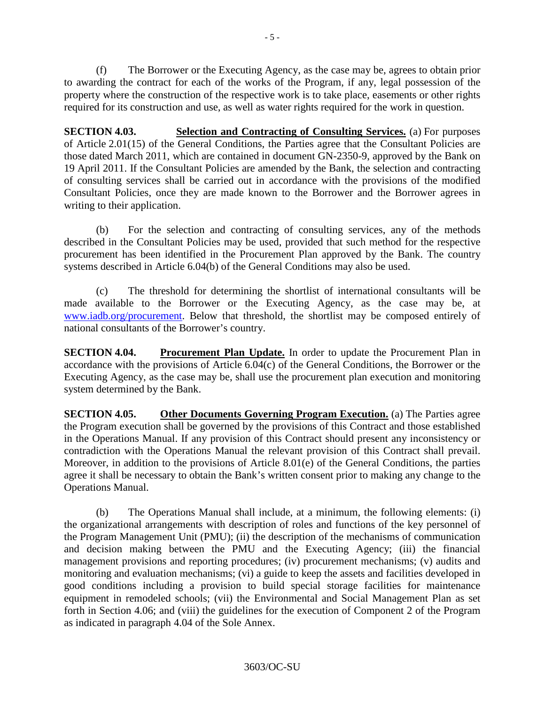(f) The Borrower or the Executing Agency, as the case may be, agrees to obtain prior to awarding the contract for each of the works of the Program, if any, legal possession of the property where the construction of the respective work is to take place, easements or other rights required for its construction and use, as well as water rights required for the work in question.

**SECTION 4.03. Selection and Contracting of Consulting Services.** (a) For purposes of Article 2.01(15) of the General Conditions, the Parties agree that the Consultant Policies are those dated March 2011, which are contained in document GN-2350-9, approved by the Bank on 19 April 2011. If the Consultant Policies are amended by the Bank, the selection and contracting of consulting services shall be carried out in accordance with the provisions of the modified Consultant Policies, once they are made known to the Borrower and the Borrower agrees in writing to their application.

(b) For the selection and contracting of consulting services, any of the methods described in the Consultant Policies may be used, provided that such method for the respective procurement has been identified in the Procurement Plan approved by the Bank. The country systems described in Article 6.04(b) of the General Conditions may also be used.

(c) The threshold for determining the shortlist of international consultants will be made available to the Borrower or the Executing Agency, as the case may be, at [www.iadb.org/procurement.](http://www.iadb.org/procurement) Below that threshold, the shortlist may be composed entirely of national consultants of the Borrower's country.

**SECTION 4.04. Procurement Plan Update.** In order to update the Procurement Plan in accordance with the provisions of Article 6.04(c) of the General Conditions, the Borrower or the Executing Agency, as the case may be, shall use the procurement plan execution and monitoring system determined by the Bank.

**SECTION 4.05. Other Documents Governing Program Execution.** (a) The Parties agree the Program execution shall be governed by the provisions of this Contract and those established in the Operations Manual. If any provision of this Contract should present any inconsistency or contradiction with the Operations Manual the relevant provision of this Contract shall prevail. Moreover, in addition to the provisions of Article 8.01(e) of the General Conditions, the parties agree it shall be necessary to obtain the Bank's written consent prior to making any change to the Operations Manual.

(b) The Operations Manual shall include, at a minimum, the following elements: (i) the organizational arrangements with description of roles and functions of the key personnel of the Program Management Unit (PMU); (ii) the description of the mechanisms of communication and decision making between the PMU and the Executing Agency; (iii) the financial management provisions and reporting procedures; (iv) procurement mechanisms; (v) audits and monitoring and evaluation mechanisms; (vi) a guide to keep the assets and facilities developed in good conditions including a provision to build special storage facilities for maintenance equipment in remodeled schools; (vii) the Environmental and Social Management Plan as set forth in Section 4.06; and (viii) the guidelines for the execution of Component 2 of the Program as indicated in paragraph 4.04 of the Sole Annex.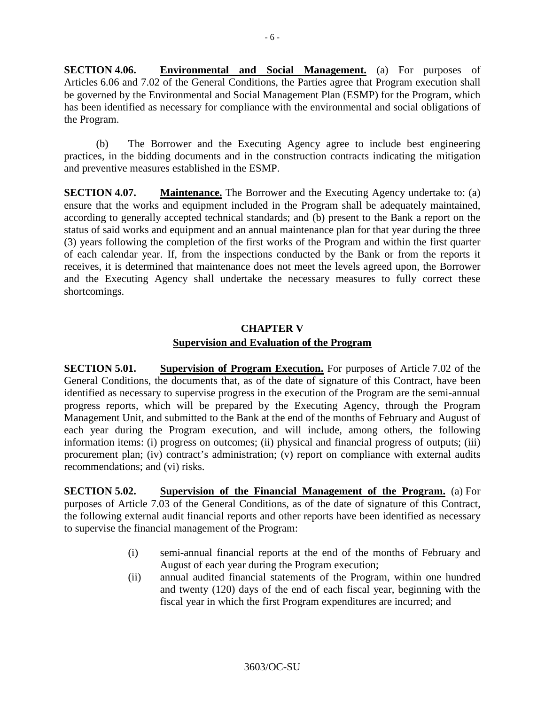**SECTION 4.06. Environmental and Social Management.** (a) For purposes of Articles 6.06 and 7.02 of the General Conditions, the Parties agree that Program execution shall be governed by the Environmental and Social Management Plan (ESMP) for the Program, which has been identified as necessary for compliance with the environmental and social obligations of the Program.

(b) The Borrower and the Executing Agency agree to include best engineering practices, in the bidding documents and in the construction contracts indicating the mitigation and preventive measures established in the ESMP.

**SECTION 4.07. Maintenance.** The Borrower and the Executing Agency undertake to: (a) ensure that the works and equipment included in the Program shall be adequately maintained, according to generally accepted technical standards; and (b) present to the Bank a report on the status of said works and equipment and an annual maintenance plan for that year during the three (3) years following the completion of the first works of the Program and within the first quarter of each calendar year. If, from the inspections conducted by the Bank or from the reports it receives, it is determined that maintenance does not meet the levels agreed upon, the Borrower and the Executing Agency shall undertake the necessary measures to fully correct these shortcomings.

# **CHAPTER V Supervision and Evaluation of the Program**

**SECTION 5.01. Supervision of Program Execution.** For purposes of Article 7.02 of the General Conditions, the documents that, as of the date of signature of this Contract, have been identified as necessary to supervise progress in the execution of the Program are the semi-annual progress reports, which will be prepared by the Executing Agency, through the Program Management Unit, and submitted to the Bank at the end of the months of February and August of each year during the Program execution, and will include, among others, the following information items: (i) progress on outcomes; (ii) physical and financial progress of outputs; (iii) procurement plan; (iv) contract's administration; (v) report on compliance with external audits recommendations; and (vi) risks.

**SECTION 5.02. Supervision of the Financial Management of the Program.** (a) For purposes of Article 7.03 of the General Conditions, as of the date of signature of this Contract, the following external audit financial reports and other reports have been identified as necessary to supervise the financial management of the Program:

- (i) semi-annual financial reports at the end of the months of February and August of each year during the Program execution;
- (ii) annual audited financial statements of the Program, within one hundred and twenty (120) days of the end of each fiscal year, beginning with the fiscal year in which the first Program expenditures are incurred; and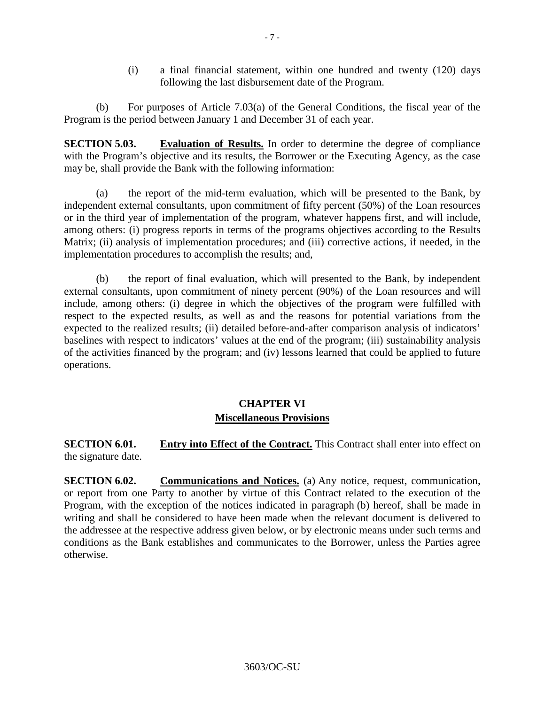(i) a final financial statement, within one hundred and twenty (120) days following the last disbursement date of the Program.

(b) For purposes of Article 7.03(a) of the General Conditions, the fiscal year of the Program is the period between January 1 and December 31 of each year.

**SECTION 5.03. Evaluation of Results.** In order to determine the degree of compliance with the Program's objective and its results, the Borrower or the Executing Agency, as the case may be, shall provide the Bank with the following information:

(a) the report of the mid-term evaluation, which will be presented to the Bank, by independent external consultants, upon commitment of fifty percent (50%) of the Loan resources or in the third year of implementation of the program, whatever happens first, and will include, among others: (i) progress reports in terms of the programs objectives according to the Results Matrix; (ii) analysis of implementation procedures; and (iii) corrective actions, if needed, in the implementation procedures to accomplish the results; and,

(b) the report of final evaluation, which will presented to the Bank, by independent external consultants, upon commitment of ninety percent (90%) of the Loan resources and will include, among others: (i) degree in which the objectives of the program were fulfilled with respect to the expected results, as well as and the reasons for potential variations from the expected to the realized results; (ii) detailed before-and-after comparison analysis of indicators' baselines with respect to indicators' values at the end of the program; (iii) sustainability analysis of the activities financed by the program; and (iv) lessons learned that could be applied to future operations.

# **CHAPTER VI Miscellaneous Provisions**

**SECTION 6.01. Entry into Effect of the Contract.** This Contract shall enter into effect on the signature date.

**SECTION 6.02. Communications and Notices.** (a) Any notice, request, communication, or report from one Party to another by virtue of this Contract related to the execution of the Program, with the exception of the notices indicated in paragraph (b) hereof, shall be made in writing and shall be considered to have been made when the relevant document is delivered to the addressee at the respective address given below, or by electronic means under such terms and conditions as the Bank establishes and communicates to the Borrower, unless the Parties agree otherwise.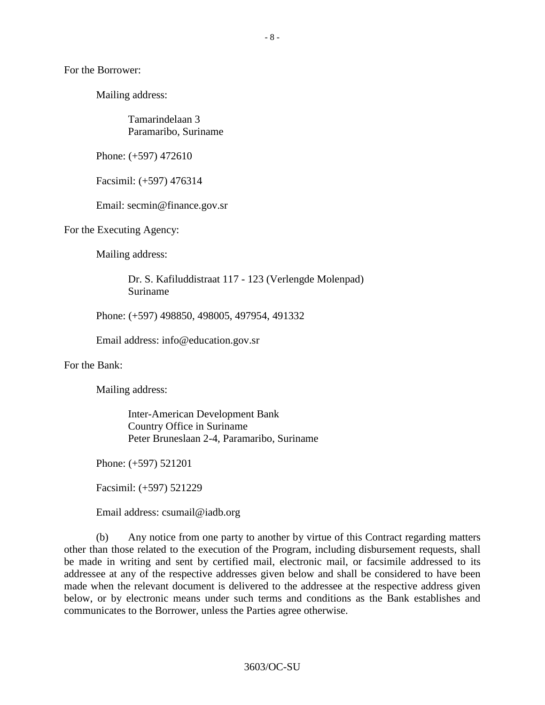For the Borrower:

Mailing address:

Tamarindelaan 3 Paramaribo, Suriname

Phone: (+597) 472610

Facsimil: (+597) 476314

Email: secmin@finance.gov.sr

For the Executing Agency:

Mailing address:

Dr. S. Kafiluddistraat 117 - 123 (Verlengde Molenpad) Suriname

Phone: (+597) 498850, 498005, 497954, 491332

Email address: [info@education.gov.sr](mailto:info@education.gov.sr)

For the Bank:

Mailing address:

Inter-American Development Bank Country Office in Suriname Peter Bruneslaan 2-4, Paramaribo, Suriname

Phone: (+597) 521201

Facsimil: (+597) 521229

Email address: [csumail@iadb.org](mailto:csumail@iadb.org)

(b) Any notice from one party to another by virtue of this Contract regarding matters other than those related to the execution of the Program, including disbursement requests, shall be made in writing and sent by certified mail, electronic mail, or facsimile addressed to its addressee at any of the respective addresses given below and shall be considered to have been made when the relevant document is delivered to the addressee at the respective address given below, or by electronic means under such terms and conditions as the Bank establishes and communicates to the Borrower, unless the Parties agree otherwise.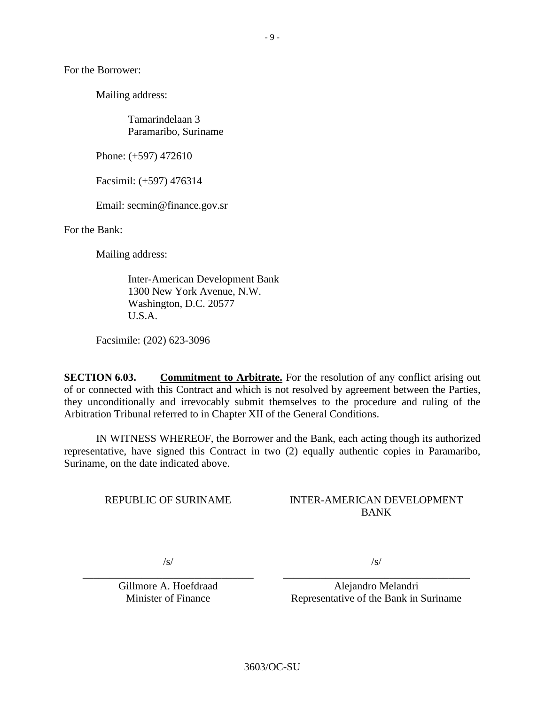For the Borrower:

Mailing address:

Tamarindelaan 3 Paramaribo, Suriname

Phone: (+597) 472610

Facsimil: (+597) 476314

Email: secmin@finance.gov.sr

For the Bank:

Mailing address:

Inter-American Development Bank 1300 New York Avenue, N.W. Washington, D.C. 20577 U.S.A.

Facsimile: (202) 623-3096

**SECTION 6.03. Commitment to Arbitrate.** For the resolution of any conflict arising out of or connected with this Contract and which is not resolved by agreement between the Parties, they unconditionally and irrevocably submit themselves to the procedure and ruling of the Arbitration Tribunal referred to in Chapter XII of the General Conditions.

IN WITNESS WHEREOF, the Borrower and the Bank, each acting though its authorized representative, have signed this Contract in two (2) equally authentic copies in Paramaribo, Suriname, on the date indicated above.

REPUBLIC OF SURINAME

### INTER-AMERICAN DEVELOPMENT BANK

/s/

\_\_\_\_\_\_\_\_\_\_\_\_\_\_\_\_\_\_\_\_\_\_\_\_\_\_\_\_\_\_\_\_ Gillmore A. Hoefdraad Minister of Finance

/s/

\_\_\_\_\_\_\_\_\_\_\_\_\_\_\_\_\_\_\_\_\_\_\_\_\_\_\_\_\_\_\_\_\_\_\_ Alejandro Melandri Representative of the Bank in Suriname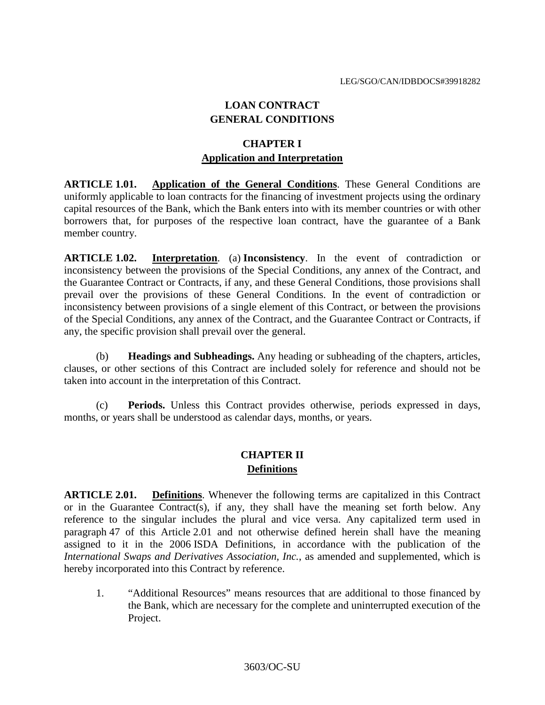# **LOAN CONTRACT GENERAL CONDITIONS**

# **CHAPTER I Application and Interpretation**

**ARTICLE 1.01. Application of the General Conditions**. These General Conditions are uniformly applicable to loan contracts for the financing of investment projects using the ordinary capital resources of the Bank, which the Bank enters into with its member countries or with other borrowers that, for purposes of the respective loan contract, have the guarantee of a Bank member country.

**ARTICLE 1.02. Interpretation**. (a) **Inconsistency**. In the event of contradiction or inconsistency between the provisions of the Special Conditions, any annex of the Contract, and the Guarantee Contract or Contracts, if any, and these General Conditions, those provisions shall prevail over the provisions of these General Conditions. In the event of contradiction or inconsistency between provisions of a single element of this Contract, or between the provisions of the Special Conditions, any annex of the Contract, and the Guarantee Contract or Contracts, if any, the specific provision shall prevail over the general.

(b) **Headings and Subheadings.** Any heading or subheading of the chapters, articles, clauses, or other sections of this Contract are included solely for reference and should not be taken into account in the interpretation of this Contract.

(c) **Periods.** Unless this Contract provides otherwise, periods expressed in days, months, or years shall be understood as calendar days, months, or years.

# **CHAPTER II Definitions**

**ARTICLE 2.01. Definitions**. Whenever the following terms are capitalized in this Contract or in the Guarantee Contract(s), if any, they shall have the meaning set forth below. Any reference to the singular includes the plural and vice versa. Any capitalized term used in paragraph 47 of this Article 2.01 and not otherwise defined herein shall have the meaning assigned to it in the 2006 ISDA Definitions, in accordance with the publication of the *International Swaps and Derivatives Association, Inc.*, as amended and supplemented, which is hereby incorporated into this Contract by reference.

1. "Additional Resources" means resources that are additional to those financed by the Bank, which are necessary for the complete and uninterrupted execution of the Project.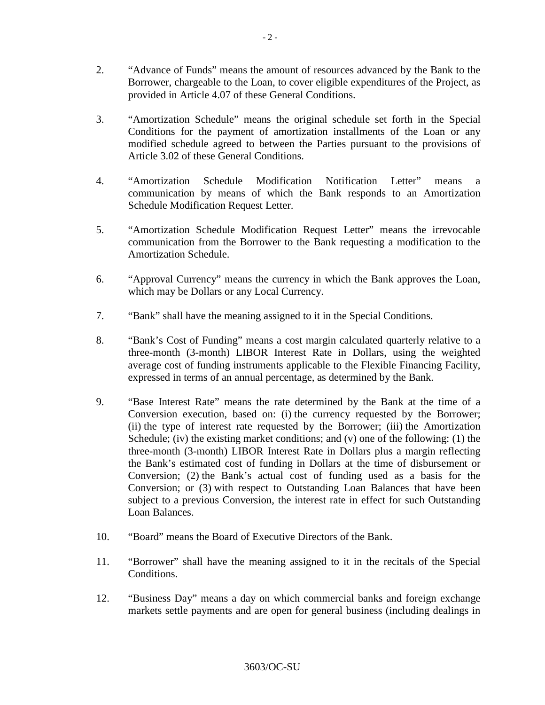- 2. "Advance of Funds" means the amount of resources advanced by the Bank to the Borrower, chargeable to the Loan, to cover eligible expenditures of the Project, as provided in Article 4.07 of these General Conditions.
- 3. "Amortization Schedule" means the original schedule set forth in the Special Conditions for the payment of amortization installments of the Loan or any modified schedule agreed to between the Parties pursuant to the provisions of Article 3.02 of these General Conditions.
- 4. "Amortization Schedule Modification Notification Letter" means a communication by means of which the Bank responds to an Amortization Schedule Modification Request Letter.
- 5. "Amortization Schedule Modification Request Letter" means the irrevocable communication from the Borrower to the Bank requesting a modification to the Amortization Schedule.
- 6. "Approval Currency" means the currency in which the Bank approves the Loan, which may be Dollars or any Local Currency.
- 7. "Bank" shall have the meaning assigned to it in the Special Conditions.
- 8. "Bank's Cost of Funding" means a cost margin calculated quarterly relative to a three-month (3-month) LIBOR Interest Rate in Dollars, using the weighted average cost of funding instruments applicable to the Flexible Financing Facility, expressed in terms of an annual percentage, as determined by the Bank.
- 9. "Base Interest Rate" means the rate determined by the Bank at the time of a Conversion execution, based on: (i) the currency requested by the Borrower; (ii) the type of interest rate requested by the Borrower; (iii) the Amortization Schedule; (iv) the existing market conditions; and (v) one of the following: (1) the three-month (3-month) LIBOR Interest Rate in Dollars plus a margin reflecting the Bank's estimated cost of funding in Dollars at the time of disbursement or Conversion; (2) the Bank's actual cost of funding used as a basis for the Conversion; or (3) with respect to Outstanding Loan Balances that have been subject to a previous Conversion, the interest rate in effect for such Outstanding Loan Balances.
- 10. "Board" means the Board of Executive Directors of the Bank.
- 11. "Borrower" shall have the meaning assigned to it in the recitals of the Special Conditions.
- 12. "Business Day" means a day on which commercial banks and foreign exchange markets settle payments and are open for general business (including dealings in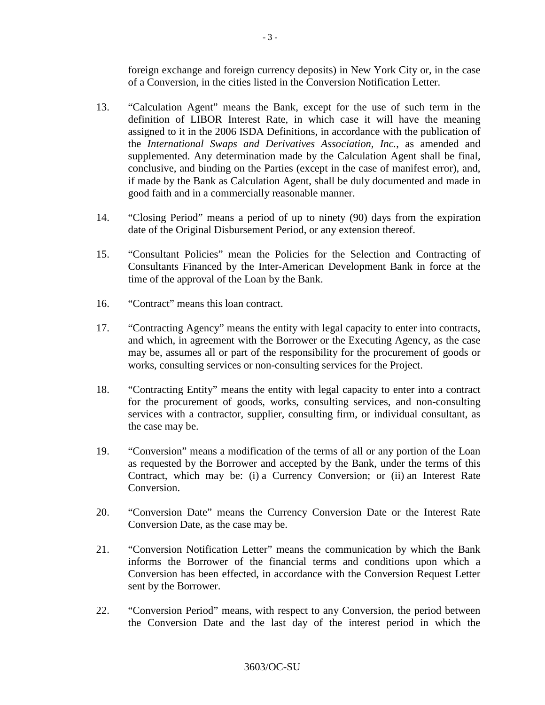foreign exchange and foreign currency deposits) in New York City or, in the case of a Conversion, in the cities listed in the Conversion Notification Letter.

- 13. "Calculation Agent" means the Bank, except for the use of such term in the definition of LIBOR Interest Rate, in which case it will have the meaning assigned to it in the 2006 ISDA Definitions, in accordance with the publication of the *International Swaps and Derivatives Association, Inc.*, as amended and supplemented. Any determination made by the Calculation Agent shall be final, conclusive, and binding on the Parties (except in the case of manifest error), and, if made by the Bank as Calculation Agent, shall be duly documented and made in good faith and in a commercially reasonable manner.
- 14. "Closing Period" means a period of up to ninety (90) days from the expiration date of the Original Disbursement Period, or any extension thereof.
- 15. "Consultant Policies" mean the Policies for the Selection and Contracting of Consultants Financed by the Inter-American Development Bank in force at the time of the approval of the Loan by the Bank.
- 16. "Contract" means this loan contract.
- 17. "Contracting Agency" means the entity with legal capacity to enter into contracts, and which, in agreement with the Borrower or the Executing Agency, as the case may be, assumes all or part of the responsibility for the procurement of goods or works, consulting services or non-consulting services for the Project.
- 18. "Contracting Entity" means the entity with legal capacity to enter into a contract for the procurement of goods, works, consulting services, and non-consulting services with a contractor, supplier, consulting firm, or individual consultant, as the case may be.
- 19. "Conversion" means a modification of the terms of all or any portion of the Loan as requested by the Borrower and accepted by the Bank, under the terms of this Contract, which may be: (i) a Currency Conversion; or (ii) an Interest Rate Conversion.
- 20. "Conversion Date" means the Currency Conversion Date or the Interest Rate Conversion Date, as the case may be.
- 21. "Conversion Notification Letter" means the communication by which the Bank informs the Borrower of the financial terms and conditions upon which a Conversion has been effected, in accordance with the Conversion Request Letter sent by the Borrower.
- 22. "Conversion Period" means, with respect to any Conversion, the period between the Conversion Date and the last day of the interest period in which the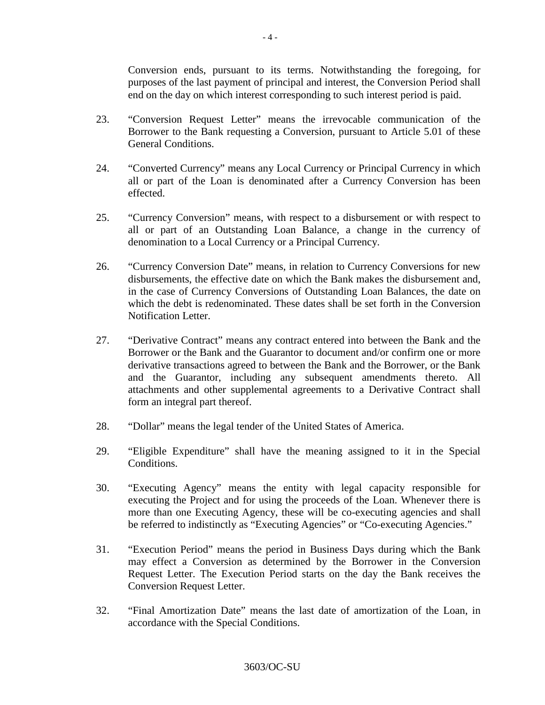Conversion ends, pursuant to its terms. Notwithstanding the foregoing, for purposes of the last payment of principal and interest, the Conversion Period shall end on the day on which interest corresponding to such interest period is paid.

- 23. "Conversion Request Letter" means the irrevocable communication of the Borrower to the Bank requesting a Conversion, pursuant to Article 5.01 of these General Conditions.
- 24. "Converted Currency" means any Local Currency or Principal Currency in which all or part of the Loan is denominated after a Currency Conversion has been effected.
- 25. "Currency Conversion" means, with respect to a disbursement or with respect to all or part of an Outstanding Loan Balance, a change in the currency of denomination to a Local Currency or a Principal Currency.
- 26. "Currency Conversion Date" means, in relation to Currency Conversions for new disbursements, the effective date on which the Bank makes the disbursement and, in the case of Currency Conversions of Outstanding Loan Balances, the date on which the debt is redenominated. These dates shall be set forth in the Conversion Notification Letter.
- 27. "Derivative Contract" means any contract entered into between the Bank and the Borrower or the Bank and the Guarantor to document and/or confirm one or more derivative transactions agreed to between the Bank and the Borrower, or the Bank and the Guarantor, including any subsequent amendments thereto. All attachments and other supplemental agreements to a Derivative Contract shall form an integral part thereof.
- 28. "Dollar" means the legal tender of the United States of America.
- 29. "Eligible Expenditure" shall have the meaning assigned to it in the Special Conditions.
- 30. "Executing Agency" means the entity with legal capacity responsible for executing the Project and for using the proceeds of the Loan. Whenever there is more than one Executing Agency, these will be co-executing agencies and shall be referred to indistinctly as "Executing Agencies" or "Co-executing Agencies."
- 31. "Execution Period" means the period in Business Days during which the Bank may effect a Conversion as determined by the Borrower in the Conversion Request Letter. The Execution Period starts on the day the Bank receives the Conversion Request Letter.
- 32. "Final Amortization Date" means the last date of amortization of the Loan, in accordance with the Special Conditions.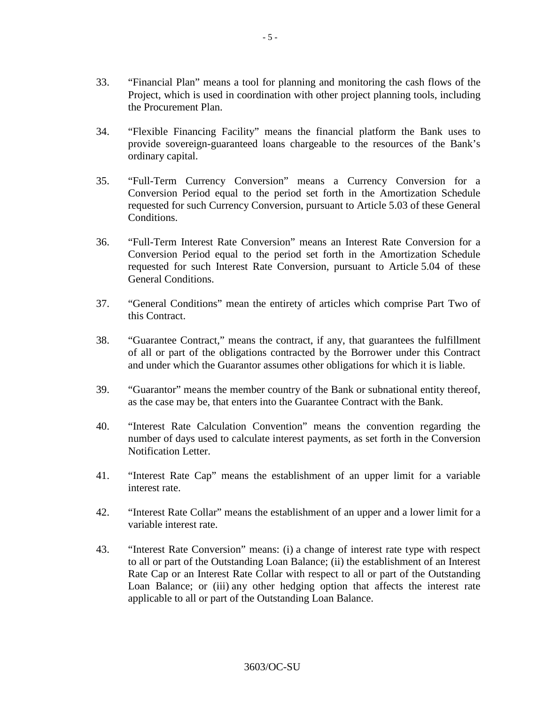- 33. "Financial Plan" means a tool for planning and monitoring the cash flows of the Project, which is used in coordination with other project planning tools, including the Procurement Plan.
- 34. "Flexible Financing Facility" means the financial platform the Bank uses to provide sovereign-guaranteed loans chargeable to the resources of the Bank's ordinary capital.
- 35. "Full-Term Currency Conversion" means a Currency Conversion for a Conversion Period equal to the period set forth in the Amortization Schedule requested for such Currency Conversion, pursuant to Article 5.03 of these General Conditions.
- 36. "Full-Term Interest Rate Conversion" means an Interest Rate Conversion for a Conversion Period equal to the period set forth in the Amortization Schedule requested for such Interest Rate Conversion, pursuant to Article 5.04 of these General Conditions.
- 37. "General Conditions" mean the entirety of articles which comprise Part Two of this Contract.
- 38. "Guarantee Contract," means the contract, if any, that guarantees the fulfillment of all or part of the obligations contracted by the Borrower under this Contract and under which the Guarantor assumes other obligations for which it is liable.
- 39. "Guarantor" means the member country of the Bank or subnational entity thereof, as the case may be, that enters into the Guarantee Contract with the Bank.
- 40. "Interest Rate Calculation Convention" means the convention regarding the number of days used to calculate interest payments, as set forth in the Conversion Notification Letter.
- 41. "Interest Rate Cap" means the establishment of an upper limit for a variable interest rate.
- 42. "Interest Rate Collar" means the establishment of an upper and a lower limit for a variable interest rate.
- 43. "Interest Rate Conversion" means: (i) a change of interest rate type with respect to all or part of the Outstanding Loan Balance; (ii) the establishment of an Interest Rate Cap or an Interest Rate Collar with respect to all or part of the Outstanding Loan Balance; or (iii) any other hedging option that affects the interest rate applicable to all or part of the Outstanding Loan Balance.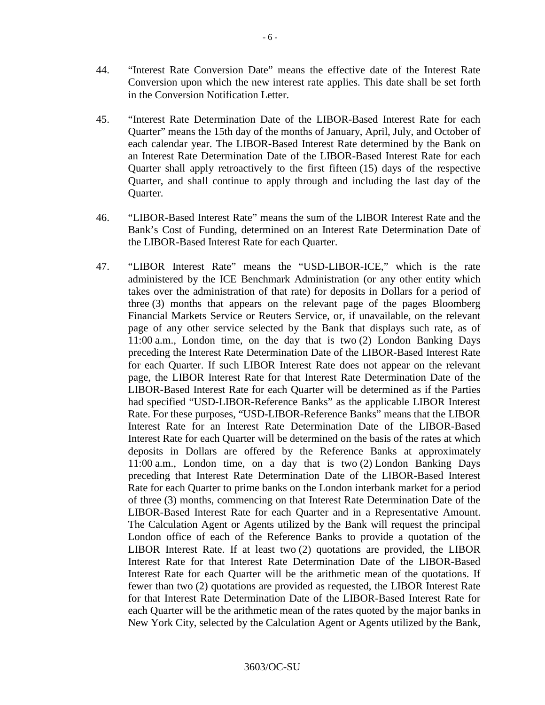- 44. "Interest Rate Conversion Date" means the effective date of the Interest Rate Conversion upon which the new interest rate applies. This date shall be set forth in the Conversion Notification Letter.
- 45. "Interest Rate Determination Date of the LIBOR-Based Interest Rate for each Quarter" means the 15th day of the months of January, April, July, and October of each calendar year. The LIBOR-Based Interest Rate determined by the Bank on an Interest Rate Determination Date of the LIBOR-Based Interest Rate for each Quarter shall apply retroactively to the first fifteen (15) days of the respective Quarter, and shall continue to apply through and including the last day of the Quarter.
- 46. "LIBOR-Based Interest Rate" means the sum of the LIBOR Interest Rate and the Bank's Cost of Funding, determined on an Interest Rate Determination Date of the LIBOR-Based Interest Rate for each Quarter.
- 47. "LIBOR Interest Rate" means the "USD-LIBOR-ICE," which is the rate administered by the ICE Benchmark Administration (or any other entity which takes over the administration of that rate) for deposits in Dollars for a period of three (3) months that appears on the relevant page of the pages Bloomberg Financial Markets Service or Reuters Service, or, if unavailable, on the relevant page of any other service selected by the Bank that displays such rate, as of 11:00 a.m., London time, on the day that is two (2) London Banking Days preceding the Interest Rate Determination Date of the LIBOR-Based Interest Rate for each Quarter. If such LIBOR Interest Rate does not appear on the relevant page, the LIBOR Interest Rate for that Interest Rate Determination Date of the LIBOR-Based Interest Rate for each Quarter will be determined as if the Parties had specified "USD-LIBOR-Reference Banks" as the applicable LIBOR Interest Rate. For these purposes, "USD-LIBOR-Reference Banks" means that the LIBOR Interest Rate for an Interest Rate Determination Date of the LIBOR-Based Interest Rate for each Quarter will be determined on the basis of the rates at which deposits in Dollars are offered by the Reference Banks at approximately 11:00 a.m., London time, on a day that is two (2) London Banking Days preceding that Interest Rate Determination Date of the LIBOR-Based Interest Rate for each Quarter to prime banks on the London interbank market for a period of three (3) months, commencing on that Interest Rate Determination Date of the LIBOR-Based Interest Rate for each Quarter and in a Representative Amount. The Calculation Agent or Agents utilized by the Bank will request the principal London office of each of the Reference Banks to provide a quotation of the LIBOR Interest Rate. If at least two (2) quotations are provided, the LIBOR Interest Rate for that Interest Rate Determination Date of the LIBOR-Based Interest Rate for each Quarter will be the arithmetic mean of the quotations. If fewer than two (2) quotations are provided as requested, the LIBOR Interest Rate for that Interest Rate Determination Date of the LIBOR-Based Interest Rate for each Quarter will be the arithmetic mean of the rates quoted by the major banks in New York City, selected by the Calculation Agent or Agents utilized by the Bank,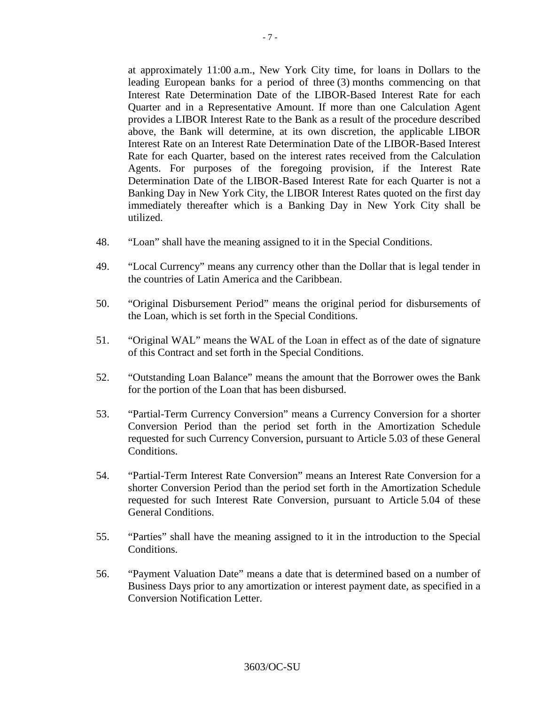at approximately 11:00 a.m., New York City time, for loans in Dollars to the leading European banks for a period of three (3) months commencing on that Interest Rate Determination Date of the LIBOR-Based Interest Rate for each Quarter and in a Representative Amount. If more than one Calculation Agent provides a LIBOR Interest Rate to the Bank as a result of the procedure described above, the Bank will determine, at its own discretion, the applicable LIBOR Interest Rate on an Interest Rate Determination Date of the LIBOR-Based Interest Rate for each Quarter, based on the interest rates received from the Calculation Agents. For purposes of the foregoing provision, if the Interest Rate Determination Date of the LIBOR-Based Interest Rate for each Quarter is not a Banking Day in New York City, the LIBOR Interest Rates quoted on the first day immediately thereafter which is a Banking Day in New York City shall be utilized.

- 48. "Loan" shall have the meaning assigned to it in the Special Conditions.
- 49. "Local Currency" means any currency other than the Dollar that is legal tender in the countries of Latin America and the Caribbean.
- 50. "Original Disbursement Period" means the original period for disbursements of the Loan, which is set forth in the Special Conditions.
- 51. "Original WAL" means the WAL of the Loan in effect as of the date of signature of this Contract and set forth in the Special Conditions.
- 52. "Outstanding Loan Balance" means the amount that the Borrower owes the Bank for the portion of the Loan that has been disbursed.
- 53. "Partial-Term Currency Conversion" means a Currency Conversion for a shorter Conversion Period than the period set forth in the Amortization Schedule requested for such Currency Conversion, pursuant to Article 5.03 of these General Conditions.
- 54. "Partial-Term Interest Rate Conversion" means an Interest Rate Conversion for a shorter Conversion Period than the period set forth in the Amortization Schedule requested for such Interest Rate Conversion, pursuant to Article 5.04 of these General Conditions.
- 55. "Parties" shall have the meaning assigned to it in the introduction to the Special Conditions.
- 56. "Payment Valuation Date" means a date that is determined based on a number of Business Days prior to any amortization or interest payment date, as specified in a Conversion Notification Letter.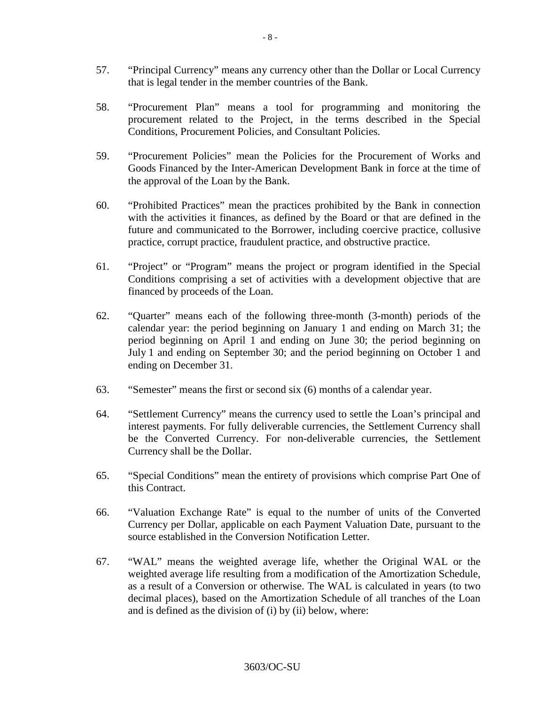- 57. "Principal Currency" means any currency other than the Dollar or Local Currency that is legal tender in the member countries of the Bank.
- 58. "Procurement Plan" means a tool for programming and monitoring the procurement related to the Project, in the terms described in the Special Conditions, Procurement Policies, and Consultant Policies.
- 59. "Procurement Policies" mean the Policies for the Procurement of Works and Goods Financed by the Inter-American Development Bank in force at the time of the approval of the Loan by the Bank.
- 60. "Prohibited Practices" mean the practices prohibited by the Bank in connection with the activities it finances, as defined by the Board or that are defined in the future and communicated to the Borrower, including coercive practice, collusive practice, corrupt practice, fraudulent practice, and obstructive practice.
- 61. "Project" or "Program" means the project or program identified in the Special Conditions comprising a set of activities with a development objective that are financed by proceeds of the Loan.
- 62. "Quarter" means each of the following three-month (3-month) periods of the calendar year: the period beginning on January 1 and ending on March 31; the period beginning on April 1 and ending on June 30; the period beginning on July 1 and ending on September 30; and the period beginning on October 1 and ending on December 31.
- 63. "Semester" means the first or second six (6) months of a calendar year.
- 64. "Settlement Currency" means the currency used to settle the Loan's principal and interest payments. For fully deliverable currencies, the Settlement Currency shall be the Converted Currency. For non-deliverable currencies, the Settlement Currency shall be the Dollar.
- 65. "Special Conditions" mean the entirety of provisions which comprise Part One of this Contract.
- 66. "Valuation Exchange Rate" is equal to the number of units of the Converted Currency per Dollar, applicable on each Payment Valuation Date, pursuant to the source established in the Conversion Notification Letter.
- 67. "WAL" means the weighted average life, whether the Original WAL or the weighted average life resulting from a modification of the Amortization Schedule, as a result of a Conversion or otherwise. The WAL is calculated in years (to two decimal places), based on the Amortization Schedule of all tranches of the Loan and is defined as the division of (i) by (ii) below, where: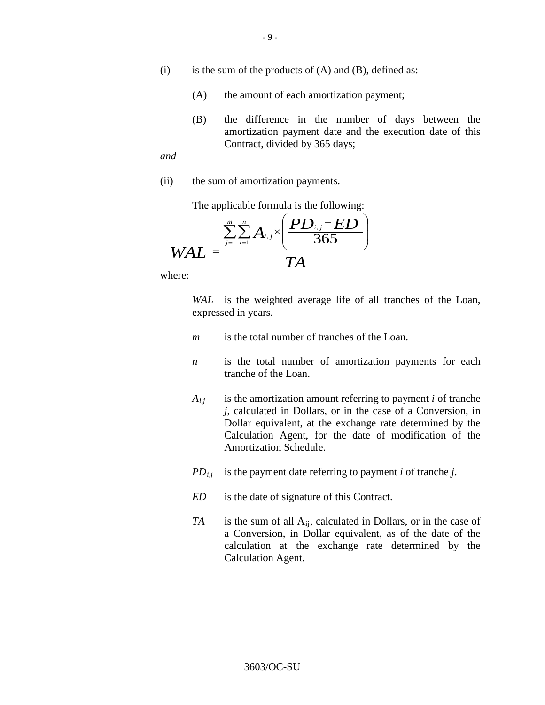- (i) is the sum of the products of  $(A)$  and  $(B)$ , defined as:
	- (A) the amount of each amortization payment;
	- (B) the difference in the number of days between the amortization payment date and the execution date of this Contract, divided by 365 days;

*and*

(ii) the sum of amortization payments.

The applicable formula is the following:

$$
WAL = \frac{\sum_{j=1}^{m} \sum_{i=1}^{n} A_{i,j} \times \left(\frac{PD_{i,j} - ED}{365}\right)}{TA}
$$

where:

*WAL* is the weighted average life of all tranches of the Loan, expressed in years.

- *m* is the total number of tranches of the Loan.
- *n* is the total number of amortization payments for each tranche of the Loan.
- $A_{i,j}$  is the amortization amount referring to payment *i* of tranche *j*, calculated in Dollars, or in the case of a Conversion, in Dollar equivalent, at the exchange rate determined by the Calculation Agent, for the date of modification of the Amortization Schedule.
- $PD_{i,j}$  is the payment date referring to payment *i* of tranche *j*.
- *ED* is the date of signature of this Contract.
- *TA* is the sum of all A<sub>ij</sub>, calculated in Dollars, or in the case of a Conversion, in Dollar equivalent, as of the date of the calculation at the exchange rate determined by the Calculation Agent.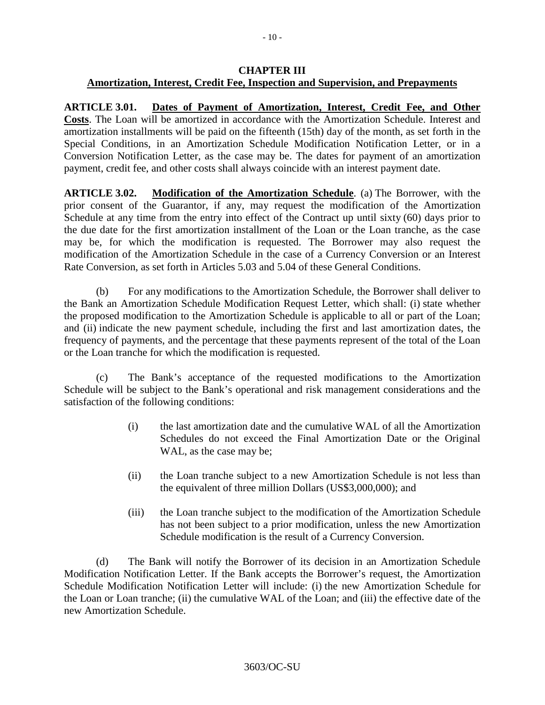### **CHAPTER III Amortization, Interest, Credit Fee, Inspection and Supervision, and Prepayments**

**ARTICLE 3.01. Dates of Payment of Amortization, Interest, Credit Fee, and Other Costs**. The Loan will be amortized in accordance with the Amortization Schedule. Interest and amortization installments will be paid on the fifteenth (15th) day of the month, as set forth in the Special Conditions, in an Amortization Schedule Modification Notification Letter, or in a Conversion Notification Letter, as the case may be. The dates for payment of an amortization payment, credit fee, and other costs shall always coincide with an interest payment date.

**ARTICLE 3.02. Modification of the Amortization Schedule**. (a) The Borrower, with the prior consent of the Guarantor, if any, may request the modification of the Amortization Schedule at any time from the entry into effect of the Contract up until sixty (60) days prior to the due date for the first amortization installment of the Loan or the Loan tranche, as the case may be, for which the modification is requested. The Borrower may also request the modification of the Amortization Schedule in the case of a Currency Conversion or an Interest Rate Conversion, as set forth in Articles 5.03 and 5.04 of these General Conditions.

(b) For any modifications to the Amortization Schedule, the Borrower shall deliver to the Bank an Amortization Schedule Modification Request Letter, which shall: (i) state whether the proposed modification to the Amortization Schedule is applicable to all or part of the Loan; and (ii) indicate the new payment schedule, including the first and last amortization dates, the frequency of payments, and the percentage that these payments represent of the total of the Loan or the Loan tranche for which the modification is requested.

(c) The Bank's acceptance of the requested modifications to the Amortization Schedule will be subject to the Bank's operational and risk management considerations and the satisfaction of the following conditions:

- (i) the last amortization date and the cumulative WAL of all the Amortization Schedules do not exceed the Final Amortization Date or the Original WAL, as the case may be;
- (ii) the Loan tranche subject to a new Amortization Schedule is not less than the equivalent of three million Dollars (US\$3,000,000); and
- (iii) the Loan tranche subject to the modification of the Amortization Schedule has not been subject to a prior modification, unless the new Amortization Schedule modification is the result of a Currency Conversion.

(d) The Bank will notify the Borrower of its decision in an Amortization Schedule Modification Notification Letter. If the Bank accepts the Borrower's request, the Amortization Schedule Modification Notification Letter will include: (i) the new Amortization Schedule for the Loan or Loan tranche; (ii) the cumulative WAL of the Loan; and (iii) the effective date of the new Amortization Schedule.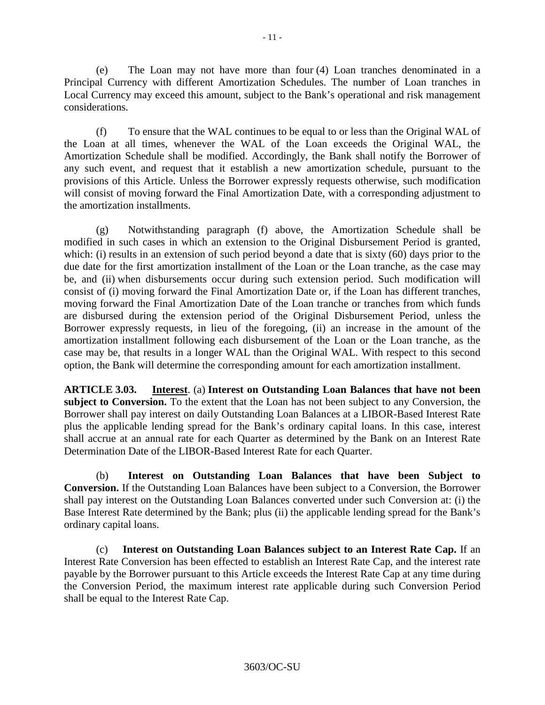(e) The Loan may not have more than four (4) Loan tranches denominated in a Principal Currency with different Amortization Schedules. The number of Loan tranches in Local Currency may exceed this amount, subject to the Bank's operational and risk management considerations.

(f) To ensure that the WAL continues to be equal to or less than the Original WAL of the Loan at all times, whenever the WAL of the Loan exceeds the Original WAL, the Amortization Schedule shall be modified. Accordingly, the Bank shall notify the Borrower of any such event, and request that it establish a new amortization schedule, pursuant to the provisions of this Article. Unless the Borrower expressly requests otherwise, such modification will consist of moving forward the Final Amortization Date, with a corresponding adjustment to the amortization installments.

(g) Notwithstanding paragraph (f) above, the Amortization Schedule shall be modified in such cases in which an extension to the Original Disbursement Period is granted, which: (i) results in an extension of such period beyond a date that is sixty (60) days prior to the due date for the first amortization installment of the Loan or the Loan tranche, as the case may be, and (ii) when disbursements occur during such extension period. Such modification will consist of (i) moving forward the Final Amortization Date or, if the Loan has different tranches, moving forward the Final Amortization Date of the Loan tranche or tranches from which funds are disbursed during the extension period of the Original Disbursement Period, unless the Borrower expressly requests, in lieu of the foregoing, (ii) an increase in the amount of the amortization installment following each disbursement of the Loan or the Loan tranche, as the case may be, that results in a longer WAL than the Original WAL. With respect to this second option, the Bank will determine the corresponding amount for each amortization installment.

**ARTICLE 3.03. Interest**. (a) **Interest on Outstanding Loan Balances that have not been subject to Conversion.** To the extent that the Loan has not been subject to any Conversion, the Borrower shall pay interest on daily Outstanding Loan Balances at a LIBOR-Based Interest Rate plus the applicable lending spread for the Bank's ordinary capital loans. In this case, interest shall accrue at an annual rate for each Quarter as determined by the Bank on an Interest Rate Determination Date of the LIBOR-Based Interest Rate for each Quarter.

(b) **Interest on Outstanding Loan Balances that have been Subject to Conversion.** If the Outstanding Loan Balances have been subject to a Conversion, the Borrower shall pay interest on the Outstanding Loan Balances converted under such Conversion at: (i) the Base Interest Rate determined by the Bank; plus (ii) the applicable lending spread for the Bank's ordinary capital loans.

(c) **Interest on Outstanding Loan Balances subject to an Interest Rate Cap.** If an Interest Rate Conversion has been effected to establish an Interest Rate Cap, and the interest rate payable by the Borrower pursuant to this Article exceeds the Interest Rate Cap at any time during the Conversion Period, the maximum interest rate applicable during such Conversion Period shall be equal to the Interest Rate Cap.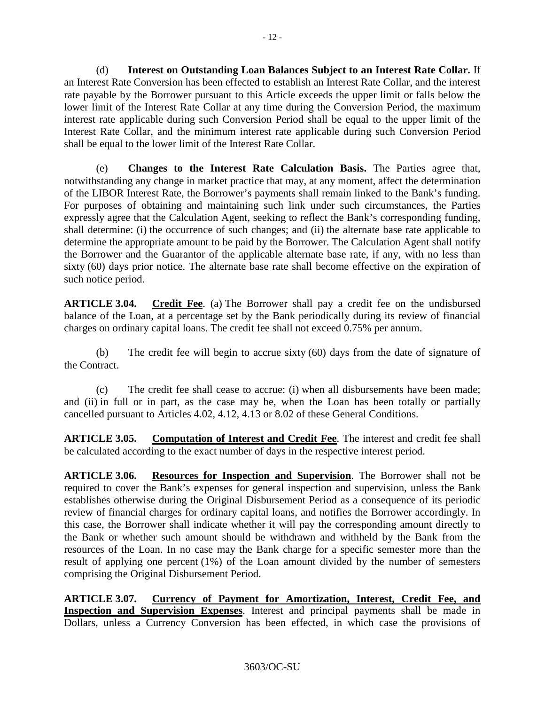(d) **Interest on Outstanding Loan Balances Subject to an Interest Rate Collar.** If an Interest Rate Conversion has been effected to establish an Interest Rate Collar, and the interest rate payable by the Borrower pursuant to this Article exceeds the upper limit or falls below the lower limit of the Interest Rate Collar at any time during the Conversion Period, the maximum interest rate applicable during such Conversion Period shall be equal to the upper limit of the Interest Rate Collar, and the minimum interest rate applicable during such Conversion Period shall be equal to the lower limit of the Interest Rate Collar.

(e) **Changes to the Interest Rate Calculation Basis.** The Parties agree that, notwithstanding any change in market practice that may, at any moment, affect the determination of the LIBOR Interest Rate, the Borrower's payments shall remain linked to the Bank's funding. For purposes of obtaining and maintaining such link under such circumstances, the Parties expressly agree that the Calculation Agent, seeking to reflect the Bank's corresponding funding, shall determine: (i) the occurrence of such changes; and (ii) the alternate base rate applicable to determine the appropriate amount to be paid by the Borrower. The Calculation Agent shall notify the Borrower and the Guarantor of the applicable alternate base rate, if any, with no less than sixty (60) days prior notice. The alternate base rate shall become effective on the expiration of such notice period.

**ARTICLE 3.04. Credit Fee**. (a) The Borrower shall pay a credit fee on the undisbursed balance of the Loan, at a percentage set by the Bank periodically during its review of financial charges on ordinary capital loans. The credit fee shall not exceed 0.75% per annum.

(b) The credit fee will begin to accrue sixty (60) days from the date of signature of the Contract.

(c) The credit fee shall cease to accrue: (i) when all disbursements have been made; and (ii) in full or in part, as the case may be, when the Loan has been totally or partially cancelled pursuant to Articles 4.02, 4.12, 4.13 or 8.02 of these General Conditions.

**ARTICLE 3.05. Computation of Interest and Credit Fee**. The interest and credit fee shall be calculated according to the exact number of days in the respective interest period.

**ARTICLE 3.06. Resources for Inspection and Supervision**. The Borrower shall not be required to cover the Bank's expenses for general inspection and supervision, unless the Bank establishes otherwise during the Original Disbursement Period as a consequence of its periodic review of financial charges for ordinary capital loans, and notifies the Borrower accordingly. In this case, the Borrower shall indicate whether it will pay the corresponding amount directly to the Bank or whether such amount should be withdrawn and withheld by the Bank from the resources of the Loan. In no case may the Bank charge for a specific semester more than the result of applying one percent (1%) of the Loan amount divided by the number of semesters comprising the Original Disbursement Period.

**ARTICLE 3.07. Currency of Payment for Amortization, Interest, Credit Fee, and Inspection and Supervision Expenses**. Interest and principal payments shall be made in Dollars, unless a Currency Conversion has been effected, in which case the provisions of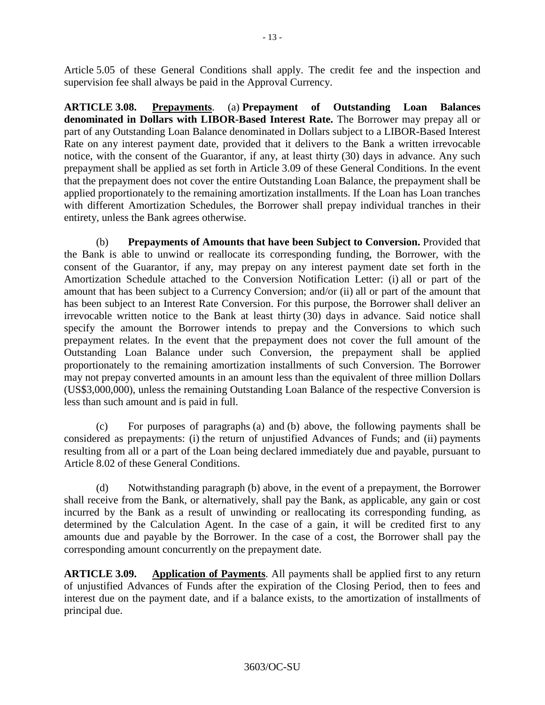Article 5.05 of these General Conditions shall apply. The credit fee and the inspection and supervision fee shall always be paid in the Approval Currency.

**ARTICLE 3.08. Prepayments**. (a) **Prepayment of Outstanding Loan Balances denominated in Dollars with LIBOR-Based Interest Rate.** The Borrower may prepay all or part of any Outstanding Loan Balance denominated in Dollars subject to a LIBOR-Based Interest Rate on any interest payment date, provided that it delivers to the Bank a written irrevocable notice, with the consent of the Guarantor, if any, at least thirty (30) days in advance. Any such prepayment shall be applied as set forth in Article 3.09 of these General Conditions. In the event that the prepayment does not cover the entire Outstanding Loan Balance, the prepayment shall be applied proportionately to the remaining amortization installments. If the Loan has Loan tranches with different Amortization Schedules, the Borrower shall prepay individual tranches in their entirety, unless the Bank agrees otherwise.

(b) **Prepayments of Amounts that have been Subject to Conversion.** Provided that the Bank is able to unwind or reallocate its corresponding funding, the Borrower, with the consent of the Guarantor, if any, may prepay on any interest payment date set forth in the Amortization Schedule attached to the Conversion Notification Letter: (i) all or part of the amount that has been subject to a Currency Conversion; and/or (ii) all or part of the amount that has been subject to an Interest Rate Conversion. For this purpose, the Borrower shall deliver an irrevocable written notice to the Bank at least thirty (30) days in advance. Said notice shall specify the amount the Borrower intends to prepay and the Conversions to which such prepayment relates. In the event that the prepayment does not cover the full amount of the Outstanding Loan Balance under such Conversion, the prepayment shall be applied proportionately to the remaining amortization installments of such Conversion. The Borrower may not prepay converted amounts in an amount less than the equivalent of three million Dollars (US\$3,000,000), unless the remaining Outstanding Loan Balance of the respective Conversion is less than such amount and is paid in full.

(c) For purposes of paragraphs (a) and (b) above, the following payments shall be considered as prepayments: (i) the return of unjustified Advances of Funds; and (ii) payments resulting from all or a part of the Loan being declared immediately due and payable, pursuant to Article 8.02 of these General Conditions.

(d) Notwithstanding paragraph (b) above, in the event of a prepayment, the Borrower shall receive from the Bank, or alternatively, shall pay the Bank, as applicable, any gain or cost incurred by the Bank as a result of unwinding or reallocating its corresponding funding, as determined by the Calculation Agent. In the case of a gain, it will be credited first to any amounts due and payable by the Borrower. In the case of a cost, the Borrower shall pay the corresponding amount concurrently on the prepayment date.

**ARTICLE 3.09. Application of Payments**. All payments shall be applied first to any return of unjustified Advances of Funds after the expiration of the Closing Period, then to fees and interest due on the payment date, and if a balance exists, to the amortization of installments of principal due.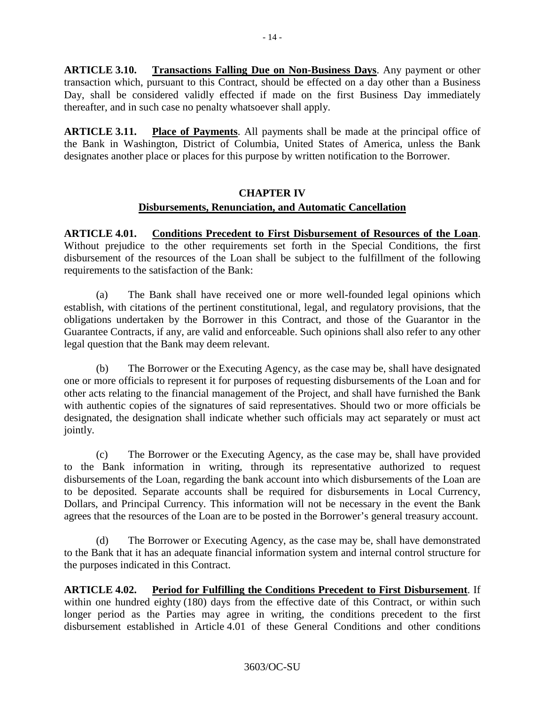**ARTICLE 3.10. Transactions Falling Due on Non-Business Days**. Any payment or other transaction which, pursuant to this Contract, should be effected on a day other than a Business Day, shall be considered validly effected if made on the first Business Day immediately thereafter, and in such case no penalty whatsoever shall apply.

**ARTICLE 3.11. Place of Payments**. All payments shall be made at the principal office of the Bank in Washington, District of Columbia, United States of America, unless the Bank designates another place or places for this purpose by written notification to the Borrower.

# **CHAPTER IV Disbursements, Renunciation, and Automatic Cancellation**

**ARTICLE 4.01. Conditions Precedent to First Disbursement of Resources of the Loan**. Without prejudice to the other requirements set forth in the Special Conditions, the first disbursement of the resources of the Loan shall be subject to the fulfillment of the following requirements to the satisfaction of the Bank:

(a) The Bank shall have received one or more well-founded legal opinions which establish, with citations of the pertinent constitutional, legal, and regulatory provisions, that the obligations undertaken by the Borrower in this Contract, and those of the Guarantor in the Guarantee Contracts, if any, are valid and enforceable. Such opinions shall also refer to any other legal question that the Bank may deem relevant.

(b) The Borrower or the Executing Agency, as the case may be, shall have designated one or more officials to represent it for purposes of requesting disbursements of the Loan and for other acts relating to the financial management of the Project, and shall have furnished the Bank with authentic copies of the signatures of said representatives. Should two or more officials be designated, the designation shall indicate whether such officials may act separately or must act jointly.

(c) The Borrower or the Executing Agency, as the case may be, shall have provided to the Bank information in writing, through its representative authorized to request disbursements of the Loan, regarding the bank account into which disbursements of the Loan are to be deposited. Separate accounts shall be required for disbursements in Local Currency, Dollars, and Principal Currency. This information will not be necessary in the event the Bank agrees that the resources of the Loan are to be posted in the Borrower's general treasury account.

(d) The Borrower or Executing Agency, as the case may be, shall have demonstrated to the Bank that it has an adequate financial information system and internal control structure for the purposes indicated in this Contract.

**ARTICLE 4.02. Period for Fulfilling the Conditions Precedent to First Disbursement**. If within one hundred eighty (180) days from the effective date of this Contract, or within such longer period as the Parties may agree in writing, the conditions precedent to the first disbursement established in Article 4.01 of these General Conditions and other conditions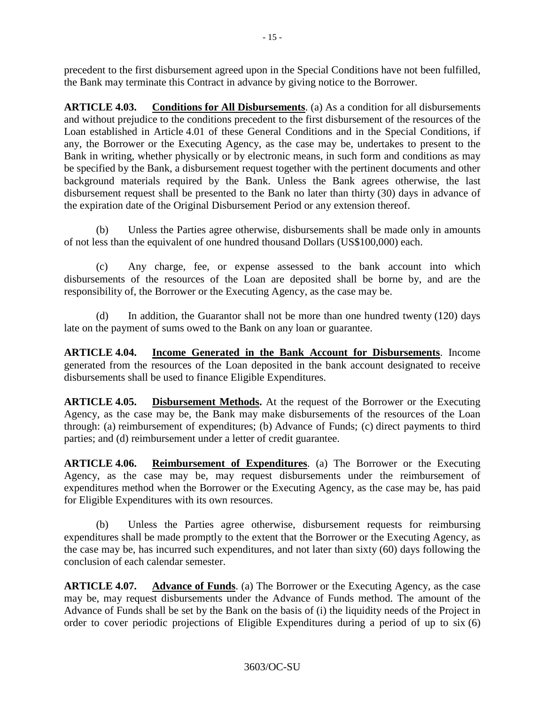precedent to the first disbursement agreed upon in the Special Conditions have not been fulfilled, the Bank may terminate this Contract in advance by giving notice to the Borrower.

**ARTICLE 4.03. Conditions for All Disbursements**. (a) As a condition for all disbursements and without prejudice to the conditions precedent to the first disbursement of the resources of the Loan established in Article 4.01 of these General Conditions and in the Special Conditions, if any, the Borrower or the Executing Agency, as the case may be, undertakes to present to the Bank in writing, whether physically or by electronic means, in such form and conditions as may be specified by the Bank, a disbursement request together with the pertinent documents and other background materials required by the Bank. Unless the Bank agrees otherwise, the last disbursement request shall be presented to the Bank no later than thirty (30) days in advance of the expiration date of the Original Disbursement Period or any extension thereof.

(b) Unless the Parties agree otherwise, disbursements shall be made only in amounts of not less than the equivalent of one hundred thousand Dollars (US\$100,000) each.

(c) Any charge, fee, or expense assessed to the bank account into which disbursements of the resources of the Loan are deposited shall be borne by, and are the responsibility of, the Borrower or the Executing Agency, as the case may be.

(d) In addition, the Guarantor shall not be more than one hundred twenty (120) days late on the payment of sums owed to the Bank on any loan or guarantee.

**ARTICLE 4.04. Income Generated in the Bank Account for Disbursements**. Income generated from the resources of the Loan deposited in the bank account designated to receive disbursements shall be used to finance Eligible Expenditures.

**ARTICLE 4.05. Disbursement Methods.** At the request of the Borrower or the Executing Agency, as the case may be, the Bank may make disbursements of the resources of the Loan through: (a) reimbursement of expenditures; (b) Advance of Funds; (c) direct payments to third parties; and (d) reimbursement under a letter of credit guarantee.

**ARTICLE 4.06. Reimbursement of Expenditures**. (a) The Borrower or the Executing Agency, as the case may be, may request disbursements under the reimbursement of expenditures method when the Borrower or the Executing Agency, as the case may be, has paid for Eligible Expenditures with its own resources.

(b) Unless the Parties agree otherwise, disbursement requests for reimbursing expenditures shall be made promptly to the extent that the Borrower or the Executing Agency, as the case may be, has incurred such expenditures, and not later than sixty (60) days following the conclusion of each calendar semester.

**ARTICLE 4.07. Advance of Funds**. (a) The Borrower or the Executing Agency, as the case may be, may request disbursements under the Advance of Funds method. The amount of the Advance of Funds shall be set by the Bank on the basis of (i) the liquidity needs of the Project in order to cover periodic projections of Eligible Expenditures during a period of up to six (6)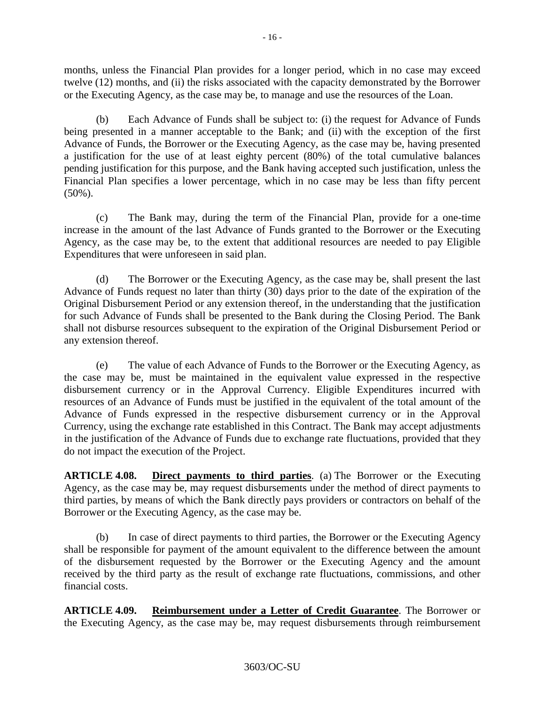months, unless the Financial Plan provides for a longer period, which in no case may exceed twelve (12) months, and (ii) the risks associated with the capacity demonstrated by the Borrower or the Executing Agency, as the case may be, to manage and use the resources of the Loan.

(b) Each Advance of Funds shall be subject to: (i) the request for Advance of Funds being presented in a manner acceptable to the Bank; and (ii) with the exception of the first Advance of Funds, the Borrower or the Executing Agency, as the case may be, having presented a justification for the use of at least eighty percent (80%) of the total cumulative balances pending justification for this purpose, and the Bank having accepted such justification, unless the Financial Plan specifies a lower percentage, which in no case may be less than fifty percent (50%).

(c) The Bank may, during the term of the Financial Plan, provide for a one-time increase in the amount of the last Advance of Funds granted to the Borrower or the Executing Agency, as the case may be, to the extent that additional resources are needed to pay Eligible Expenditures that were unforeseen in said plan.

(d) The Borrower or the Executing Agency, as the case may be, shall present the last Advance of Funds request no later than thirty (30) days prior to the date of the expiration of the Original Disbursement Period or any extension thereof, in the understanding that the justification for such Advance of Funds shall be presented to the Bank during the Closing Period. The Bank shall not disburse resources subsequent to the expiration of the Original Disbursement Period or any extension thereof.

(e) The value of each Advance of Funds to the Borrower or the Executing Agency, as the case may be, must be maintained in the equivalent value expressed in the respective disbursement currency or in the Approval Currency. Eligible Expenditures incurred with resources of an Advance of Funds must be justified in the equivalent of the total amount of the Advance of Funds expressed in the respective disbursement currency or in the Approval Currency, using the exchange rate established in this Contract. The Bank may accept adjustments in the justification of the Advance of Funds due to exchange rate fluctuations, provided that they do not impact the execution of the Project.

**ARTICLE 4.08. Direct payments to third parties**. (a) The Borrower or the Executing Agency, as the case may be, may request disbursements under the method of direct payments to third parties, by means of which the Bank directly pays providers or contractors on behalf of the Borrower or the Executing Agency, as the case may be.

(b) In case of direct payments to third parties, the Borrower or the Executing Agency shall be responsible for payment of the amount equivalent to the difference between the amount of the disbursement requested by the Borrower or the Executing Agency and the amount received by the third party as the result of exchange rate fluctuations, commissions, and other financial costs.

**ARTICLE 4.09. Reimbursement under a Letter of Credit Guarantee**. The Borrower or the Executing Agency, as the case may be, may request disbursements through reimbursement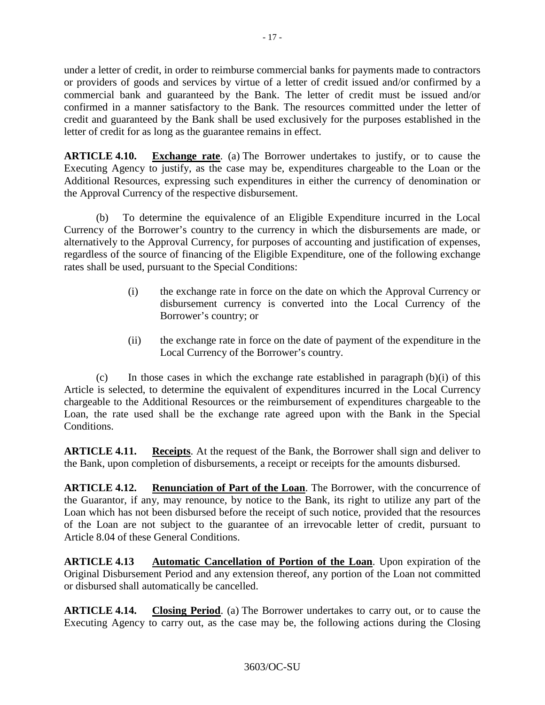under a letter of credit, in order to reimburse commercial banks for payments made to contractors or providers of goods and services by virtue of a letter of credit issued and/or confirmed by a commercial bank and guaranteed by the Bank. The letter of credit must be issued and/or confirmed in a manner satisfactory to the Bank. The resources committed under the letter of credit and guaranteed by the Bank shall be used exclusively for the purposes established in the letter of credit for as long as the guarantee remains in effect.

**ARTICLE 4.10. Exchange rate**. (a) The Borrower undertakes to justify, or to cause the Executing Agency to justify, as the case may be, expenditures chargeable to the Loan or the Additional Resources, expressing such expenditures in either the currency of denomination or the Approval Currency of the respective disbursement.

(b) To determine the equivalence of an Eligible Expenditure incurred in the Local Currency of the Borrower's country to the currency in which the disbursements are made, or alternatively to the Approval Currency, for purposes of accounting and justification of expenses, regardless of the source of financing of the Eligible Expenditure, one of the following exchange rates shall be used, pursuant to the Special Conditions:

- (i) the exchange rate in force on the date on which the Approval Currency or disbursement currency is converted into the Local Currency of the Borrower's country; or
- (ii) the exchange rate in force on the date of payment of the expenditure in the Local Currency of the Borrower's country.

 $(c)$  In those cases in which the exchange rate established in paragraph  $(b)(i)$  of this Article is selected, to determine the equivalent of expenditures incurred in the Local Currency chargeable to the Additional Resources or the reimbursement of expenditures chargeable to the Loan, the rate used shall be the exchange rate agreed upon with the Bank in the Special Conditions.

**ARTICLE 4.11. Receipts**. At the request of the Bank, the Borrower shall sign and deliver to the Bank, upon completion of disbursements, a receipt or receipts for the amounts disbursed.

**ARTICLE 4.12. Renunciation of Part of the Loan**. The Borrower, with the concurrence of the Guarantor, if any, may renounce, by notice to the Bank, its right to utilize any part of the Loan which has not been disbursed before the receipt of such notice, provided that the resources of the Loan are not subject to the guarantee of an irrevocable letter of credit, pursuant to Article 8.04 of these General Conditions.

**ARTICLE 4.13 Automatic Cancellation of Portion of the Loan**. Upon expiration of the Original Disbursement Period and any extension thereof, any portion of the Loan not committed or disbursed shall automatically be cancelled.

**ARTICLE 4.14. Closing Period**. (a) The Borrower undertakes to carry out, or to cause the Executing Agency to carry out, as the case may be, the following actions during the Closing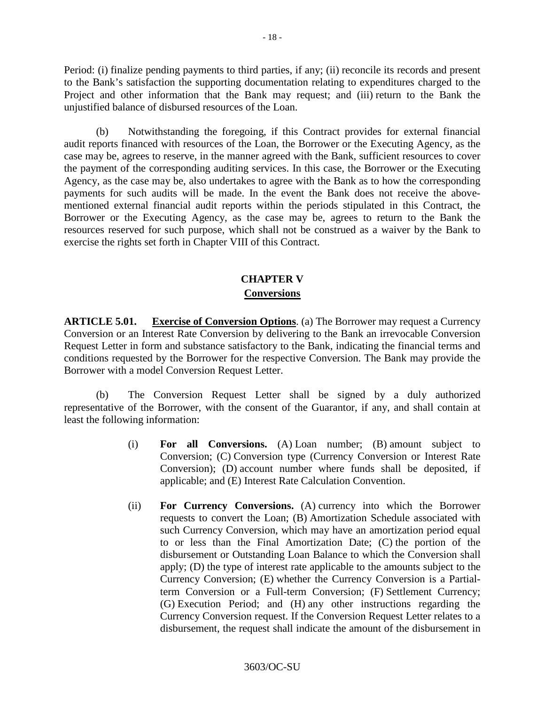Period: (i) finalize pending payments to third parties, if any; (ii) reconcile its records and present to the Bank's satisfaction the supporting documentation relating to expenditures charged to the Project and other information that the Bank may request; and (iii) return to the Bank the unjustified balance of disbursed resources of the Loan.

(b) Notwithstanding the foregoing, if this Contract provides for external financial audit reports financed with resources of the Loan, the Borrower or the Executing Agency, as the case may be, agrees to reserve, in the manner agreed with the Bank, sufficient resources to cover the payment of the corresponding auditing services. In this case, the Borrower or the Executing Agency, as the case may be, also undertakes to agree with the Bank as to how the corresponding payments for such audits will be made. In the event the Bank does not receive the abovementioned external financial audit reports within the periods stipulated in this Contract, the Borrower or the Executing Agency, as the case may be, agrees to return to the Bank the resources reserved for such purpose, which shall not be construed as a waiver by the Bank to exercise the rights set forth in Chapter VIII of this Contract.

# **CHAPTER V Conversions**

**ARTICLE 5.01. Exercise of Conversion Options**. (a) The Borrower may request a Currency Conversion or an Interest Rate Conversion by delivering to the Bank an irrevocable Conversion Request Letter in form and substance satisfactory to the Bank, indicating the financial terms and conditions requested by the Borrower for the respective Conversion. The Bank may provide the Borrower with a model Conversion Request Letter.

(b) The Conversion Request Letter shall be signed by a duly authorized representative of the Borrower, with the consent of the Guarantor, if any, and shall contain at least the following information:

- (i) **For all Conversions.** (A) Loan number; (B) amount subject to Conversion; (C) Conversion type (Currency Conversion or Interest Rate Conversion); (D) account number where funds shall be deposited, if applicable; and (E) Interest Rate Calculation Convention.
- (ii) **For Currency Conversions.** (A) currency into which the Borrower requests to convert the Loan; (B) Amortization Schedule associated with such Currency Conversion, which may have an amortization period equal to or less than the Final Amortization Date; (C) the portion of the disbursement or Outstanding Loan Balance to which the Conversion shall apply; (D) the type of interest rate applicable to the amounts subject to the Currency Conversion; (E) whether the Currency Conversion is a Partialterm Conversion or a Full-term Conversion; (F) Settlement Currency; (G) Execution Period; and (H) any other instructions regarding the Currency Conversion request. If the Conversion Request Letter relates to a disbursement, the request shall indicate the amount of the disbursement in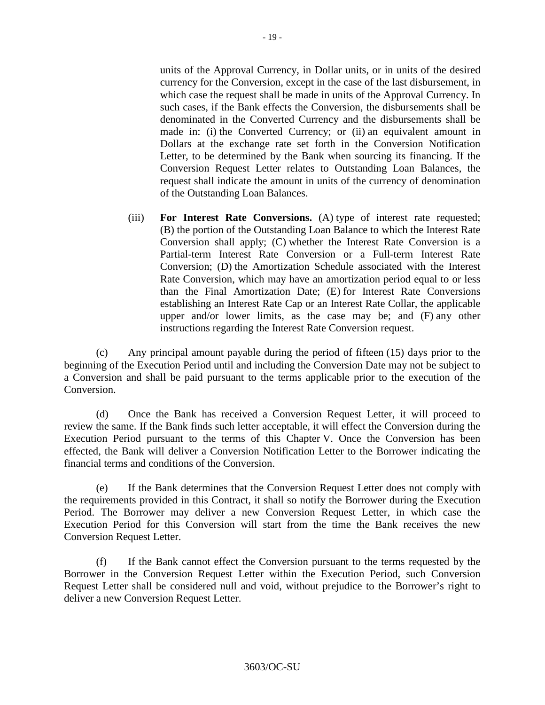units of the Approval Currency, in Dollar units, or in units of the desired currency for the Conversion, except in the case of the last disbursement, in which case the request shall be made in units of the Approval Currency. In such cases, if the Bank effects the Conversion, the disbursements shall be denominated in the Converted Currency and the disbursements shall be made in: (i) the Converted Currency; or (ii) an equivalent amount in Dollars at the exchange rate set forth in the Conversion Notification Letter, to be determined by the Bank when sourcing its financing. If the Conversion Request Letter relates to Outstanding Loan Balances, the request shall indicate the amount in units of the currency of denomination of the Outstanding Loan Balances.

(iii) **For Interest Rate Conversions.** (A) type of interest rate requested; (B) the portion of the Outstanding Loan Balance to which the Interest Rate Conversion shall apply; (C) whether the Interest Rate Conversion is a Partial-term Interest Rate Conversion or a Full-term Interest Rate Conversion; (D) the Amortization Schedule associated with the Interest Rate Conversion, which may have an amortization period equal to or less than the Final Amortization Date; (E) for Interest Rate Conversions establishing an Interest Rate Cap or an Interest Rate Collar, the applicable upper and/or lower limits, as the case may be; and (F) any other instructions regarding the Interest Rate Conversion request.

(c) Any principal amount payable during the period of fifteen (15) days prior to the beginning of the Execution Period until and including the Conversion Date may not be subject to a Conversion and shall be paid pursuant to the terms applicable prior to the execution of the Conversion.

(d) Once the Bank has received a Conversion Request Letter, it will proceed to review the same. If the Bank finds such letter acceptable, it will effect the Conversion during the Execution Period pursuant to the terms of this Chapter V. Once the Conversion has been effected, the Bank will deliver a Conversion Notification Letter to the Borrower indicating the financial terms and conditions of the Conversion.

(e) If the Bank determines that the Conversion Request Letter does not comply with the requirements provided in this Contract, it shall so notify the Borrower during the Execution Period. The Borrower may deliver a new Conversion Request Letter, in which case the Execution Period for this Conversion will start from the time the Bank receives the new Conversion Request Letter.

(f) If the Bank cannot effect the Conversion pursuant to the terms requested by the Borrower in the Conversion Request Letter within the Execution Period, such Conversion Request Letter shall be considered null and void, without prejudice to the Borrower's right to deliver a new Conversion Request Letter.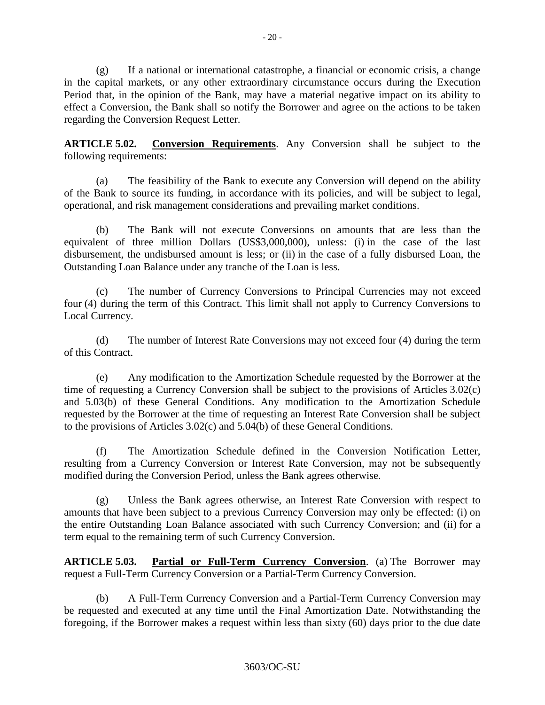(g) If a national or international catastrophe, a financial or economic crisis, a change in the capital markets, or any other extraordinary circumstance occurs during the Execution Period that, in the opinion of the Bank, may have a material negative impact on its ability to effect a Conversion, the Bank shall so notify the Borrower and agree on the actions to be taken regarding the Conversion Request Letter.

**ARTICLE 5.02. Conversion Requirements**. Any Conversion shall be subject to the following requirements:

(a) The feasibility of the Bank to execute any Conversion will depend on the ability of the Bank to source its funding, in accordance with its policies, and will be subject to legal, operational, and risk management considerations and prevailing market conditions.

(b) The Bank will not execute Conversions on amounts that are less than the equivalent of three million Dollars (US\$3,000,000), unless: (i) in the case of the last disbursement, the undisbursed amount is less; or (ii) in the case of a fully disbursed Loan, the Outstanding Loan Balance under any tranche of the Loan is less.

(c) The number of Currency Conversions to Principal Currencies may not exceed four (4) during the term of this Contract. This limit shall not apply to Currency Conversions to Local Currency.

(d) The number of Interest Rate Conversions may not exceed four (4) during the term of this Contract.

(e) Any modification to the Amortization Schedule requested by the Borrower at the time of requesting a Currency Conversion shall be subject to the provisions of Articles 3.02(c) and 5.03(b) of these General Conditions. Any modification to the Amortization Schedule requested by the Borrower at the time of requesting an Interest Rate Conversion shall be subject to the provisions of Articles 3.02(c) and 5.04(b) of these General Conditions.

(f) The Amortization Schedule defined in the Conversion Notification Letter, resulting from a Currency Conversion or Interest Rate Conversion, may not be subsequently modified during the Conversion Period, unless the Bank agrees otherwise.

(g) Unless the Bank agrees otherwise, an Interest Rate Conversion with respect to amounts that have been subject to a previous Currency Conversion may only be effected: (i) on the entire Outstanding Loan Balance associated with such Currency Conversion; and (ii) for a term equal to the remaining term of such Currency Conversion.

**ARTICLE 5.03. Partial or Full-Term Currency Conversion**. (a) The Borrower may request a Full-Term Currency Conversion or a Partial-Term Currency Conversion.

(b) A Full-Term Currency Conversion and a Partial-Term Currency Conversion may be requested and executed at any time until the Final Amortization Date. Notwithstanding the foregoing, if the Borrower makes a request within less than sixty (60) days prior to the due date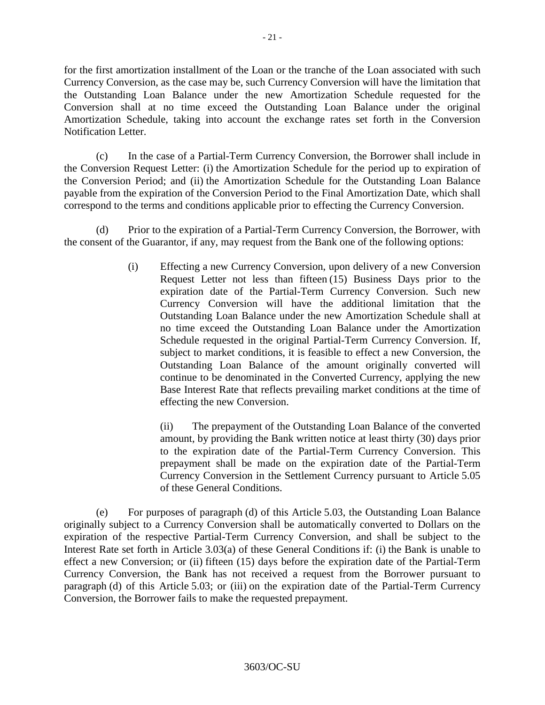for the first amortization installment of the Loan or the tranche of the Loan associated with such Currency Conversion, as the case may be, such Currency Conversion will have the limitation that the Outstanding Loan Balance under the new Amortization Schedule requested for the Conversion shall at no time exceed the Outstanding Loan Balance under the original Amortization Schedule, taking into account the exchange rates set forth in the Conversion Notification Letter.

(c) In the case of a Partial-Term Currency Conversion, the Borrower shall include in the Conversion Request Letter: (i) the Amortization Schedule for the period up to expiration of the Conversion Period; and (ii) the Amortization Schedule for the Outstanding Loan Balance payable from the expiration of the Conversion Period to the Final Amortization Date, which shall correspond to the terms and conditions applicable prior to effecting the Currency Conversion.

(d) Prior to the expiration of a Partial-Term Currency Conversion, the Borrower, with the consent of the Guarantor, if any, may request from the Bank one of the following options:

> (i) Effecting a new Currency Conversion, upon delivery of a new Conversion Request Letter not less than fifteen (15) Business Days prior to the expiration date of the Partial-Term Currency Conversion. Such new Currency Conversion will have the additional limitation that the Outstanding Loan Balance under the new Amortization Schedule shall at no time exceed the Outstanding Loan Balance under the Amortization Schedule requested in the original Partial-Term Currency Conversion. If, subject to market conditions, it is feasible to effect a new Conversion, the Outstanding Loan Balance of the amount originally converted will continue to be denominated in the Converted Currency, applying the new Base Interest Rate that reflects prevailing market conditions at the time of effecting the new Conversion.

(ii) The prepayment of the Outstanding Loan Balance of the converted amount, by providing the Bank written notice at least thirty (30) days prior to the expiration date of the Partial-Term Currency Conversion. This prepayment shall be made on the expiration date of the Partial-Term Currency Conversion in the Settlement Currency pursuant to Article 5.05 of these General Conditions.

(e) For purposes of paragraph (d) of this Article 5.03, the Outstanding Loan Balance originally subject to a Currency Conversion shall be automatically converted to Dollars on the expiration of the respective Partial-Term Currency Conversion, and shall be subject to the Interest Rate set forth in Article 3.03(a) of these General Conditions if: (i) the Bank is unable to effect a new Conversion; or (ii) fifteen (15) days before the expiration date of the Partial-Term Currency Conversion, the Bank has not received a request from the Borrower pursuant to paragraph (d) of this Article 5.03; or (iii) on the expiration date of the Partial-Term Currency Conversion, the Borrower fails to make the requested prepayment.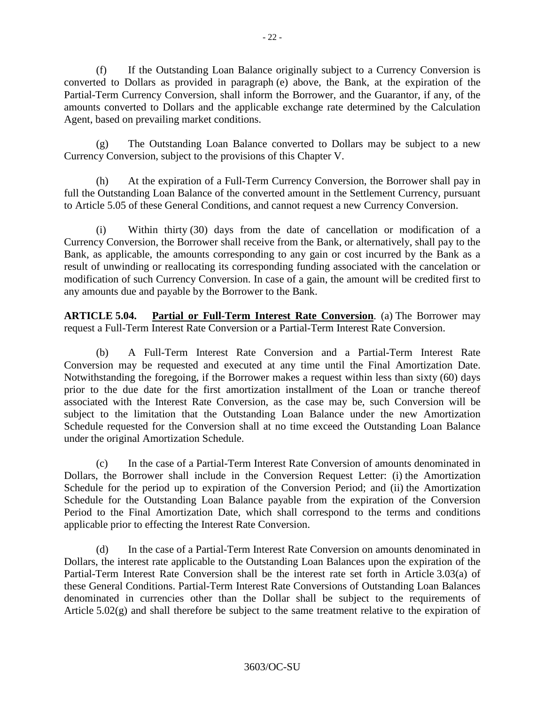(f) If the Outstanding Loan Balance originally subject to a Currency Conversion is converted to Dollars as provided in paragraph (e) above, the Bank, at the expiration of the Partial-Term Currency Conversion, shall inform the Borrower, and the Guarantor, if any, of the amounts converted to Dollars and the applicable exchange rate determined by the Calculation Agent, based on prevailing market conditions.

(g) The Outstanding Loan Balance converted to Dollars may be subject to a new Currency Conversion, subject to the provisions of this Chapter V.

(h) At the expiration of a Full-Term Currency Conversion, the Borrower shall pay in full the Outstanding Loan Balance of the converted amount in the Settlement Currency, pursuant to Article 5.05 of these General Conditions, and cannot request a new Currency Conversion.

(i) Within thirty (30) days from the date of cancellation or modification of a Currency Conversion, the Borrower shall receive from the Bank, or alternatively, shall pay to the Bank, as applicable, the amounts corresponding to any gain or cost incurred by the Bank as a result of unwinding or reallocating its corresponding funding associated with the cancelation or modification of such Currency Conversion. In case of a gain, the amount will be credited first to any amounts due and payable by the Borrower to the Bank.

**ARTICLE 5.04. Partial or Full-Term Interest Rate Conversion**. (a) The Borrower may request a Full-Term Interest Rate Conversion or a Partial-Term Interest Rate Conversion.

(b) A Full-Term Interest Rate Conversion and a Partial-Term Interest Rate Conversion may be requested and executed at any time until the Final Amortization Date. Notwithstanding the foregoing, if the Borrower makes a request within less than sixty (60) days prior to the due date for the first amortization installment of the Loan or tranche thereof associated with the Interest Rate Conversion, as the case may be, such Conversion will be subject to the limitation that the Outstanding Loan Balance under the new Amortization Schedule requested for the Conversion shall at no time exceed the Outstanding Loan Balance under the original Amortization Schedule.

(c) In the case of a Partial-Term Interest Rate Conversion of amounts denominated in Dollars, the Borrower shall include in the Conversion Request Letter: (i) the Amortization Schedule for the period up to expiration of the Conversion Period; and (ii) the Amortization Schedule for the Outstanding Loan Balance payable from the expiration of the Conversion Period to the Final Amortization Date, which shall correspond to the terms and conditions applicable prior to effecting the Interest Rate Conversion.

(d) In the case of a Partial-Term Interest Rate Conversion on amounts denominated in Dollars, the interest rate applicable to the Outstanding Loan Balances upon the expiration of the Partial-Term Interest Rate Conversion shall be the interest rate set forth in Article 3.03(a) of these General Conditions. Partial-Term Interest Rate Conversions of Outstanding Loan Balances denominated in currencies other than the Dollar shall be subject to the requirements of Article 5.02(g) and shall therefore be subject to the same treatment relative to the expiration of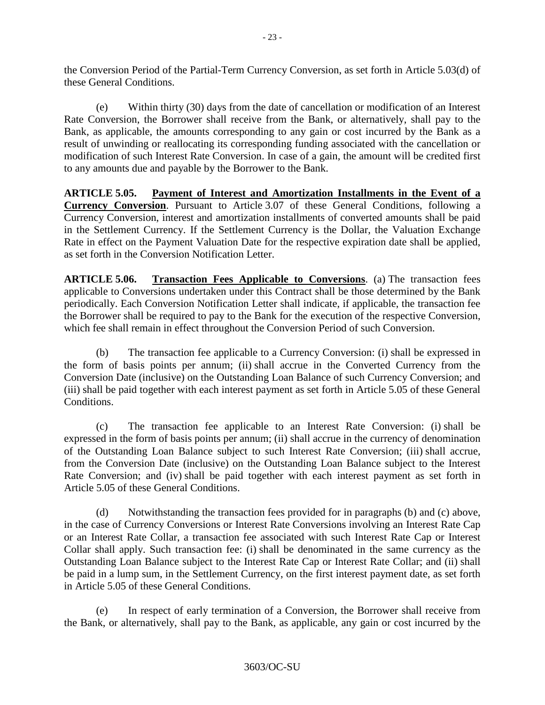the Conversion Period of the Partial-Term Currency Conversion, as set forth in Article 5.03(d) of these General Conditions.

(e) Within thirty (30) days from the date of cancellation or modification of an Interest Rate Conversion, the Borrower shall receive from the Bank, or alternatively, shall pay to the Bank, as applicable, the amounts corresponding to any gain or cost incurred by the Bank as a result of unwinding or reallocating its corresponding funding associated with the cancellation or modification of such Interest Rate Conversion. In case of a gain, the amount will be credited first to any amounts due and payable by the Borrower to the Bank.

**ARTICLE 5.05. Payment of Interest and Amortization Installments in the Event of a Currency Conversion**. Pursuant to Article 3.07 of these General Conditions, following a Currency Conversion, interest and amortization installments of converted amounts shall be paid in the Settlement Currency. If the Settlement Currency is the Dollar, the Valuation Exchange Rate in effect on the Payment Valuation Date for the respective expiration date shall be applied, as set forth in the Conversion Notification Letter.

**ARTICLE 5.06. Transaction Fees Applicable to Conversions**. (a) The transaction fees applicable to Conversions undertaken under this Contract shall be those determined by the Bank periodically. Each Conversion Notification Letter shall indicate, if applicable, the transaction fee the Borrower shall be required to pay to the Bank for the execution of the respective Conversion, which fee shall remain in effect throughout the Conversion Period of such Conversion.

(b) The transaction fee applicable to a Currency Conversion: (i) shall be expressed in the form of basis points per annum; (ii) shall accrue in the Converted Currency from the Conversion Date (inclusive) on the Outstanding Loan Balance of such Currency Conversion; and (iii) shall be paid together with each interest payment as set forth in Article 5.05 of these General Conditions.

(c) The transaction fee applicable to an Interest Rate Conversion: (i) shall be expressed in the form of basis points per annum; (ii) shall accrue in the currency of denomination of the Outstanding Loan Balance subject to such Interest Rate Conversion; (iii) shall accrue, from the Conversion Date (inclusive) on the Outstanding Loan Balance subject to the Interest Rate Conversion; and (iv) shall be paid together with each interest payment as set forth in Article 5.05 of these General Conditions.

(d) Notwithstanding the transaction fees provided for in paragraphs (b) and (c) above, in the case of Currency Conversions or Interest Rate Conversions involving an Interest Rate Cap or an Interest Rate Collar, a transaction fee associated with such Interest Rate Cap or Interest Collar shall apply. Such transaction fee: (i) shall be denominated in the same currency as the Outstanding Loan Balance subject to the Interest Rate Cap or Interest Rate Collar; and (ii) shall be paid in a lump sum, in the Settlement Currency, on the first interest payment date, as set forth in Article 5.05 of these General Conditions.

(e) In respect of early termination of a Conversion, the Borrower shall receive from the Bank, or alternatively, shall pay to the Bank, as applicable, any gain or cost incurred by the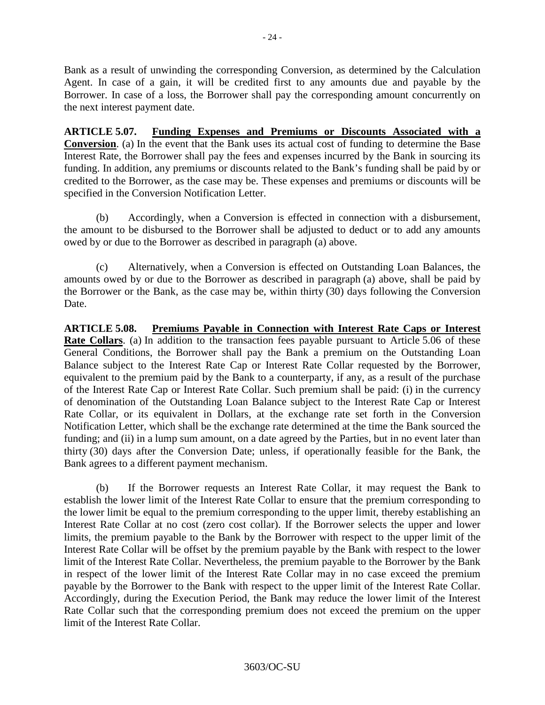Bank as a result of unwinding the corresponding Conversion, as determined by the Calculation Agent. In case of a gain, it will be credited first to any amounts due and payable by the Borrower. In case of a loss, the Borrower shall pay the corresponding amount concurrently on the next interest payment date.

**ARTICLE 5.07. Funding Expenses and Premiums or Discounts Associated with a Conversion**. (a) In the event that the Bank uses its actual cost of funding to determine the Base Interest Rate, the Borrower shall pay the fees and expenses incurred by the Bank in sourcing its funding. In addition, any premiums or discounts related to the Bank's funding shall be paid by or credited to the Borrower, as the case may be. These expenses and premiums or discounts will be specified in the Conversion Notification Letter.

(b) Accordingly, when a Conversion is effected in connection with a disbursement, the amount to be disbursed to the Borrower shall be adjusted to deduct or to add any amounts owed by or due to the Borrower as described in paragraph (a) above.

(c) Alternatively, when a Conversion is effected on Outstanding Loan Balances, the amounts owed by or due to the Borrower as described in paragraph (a) above, shall be paid by the Borrower or the Bank, as the case may be, within thirty (30) days following the Conversion Date.

**ARTICLE 5.08. Premiums Payable in Connection with Interest Rate Caps or Interest Rate Collars**. (a) In addition to the transaction fees payable pursuant to Article 5.06 of these General Conditions, the Borrower shall pay the Bank a premium on the Outstanding Loan Balance subject to the Interest Rate Cap or Interest Rate Collar requested by the Borrower, equivalent to the premium paid by the Bank to a counterparty, if any, as a result of the purchase of the Interest Rate Cap or Interest Rate Collar. Such premium shall be paid: (i) in the currency of denomination of the Outstanding Loan Balance subject to the Interest Rate Cap or Interest Rate Collar, or its equivalent in Dollars, at the exchange rate set forth in the Conversion Notification Letter, which shall be the exchange rate determined at the time the Bank sourced the funding; and (ii) in a lump sum amount, on a date agreed by the Parties, but in no event later than thirty (30) days after the Conversion Date; unless, if operationally feasible for the Bank, the Bank agrees to a different payment mechanism.

(b) If the Borrower requests an Interest Rate Collar, it may request the Bank to establish the lower limit of the Interest Rate Collar to ensure that the premium corresponding to the lower limit be equal to the premium corresponding to the upper limit, thereby establishing an Interest Rate Collar at no cost (zero cost collar). If the Borrower selects the upper and lower limits, the premium payable to the Bank by the Borrower with respect to the upper limit of the Interest Rate Collar will be offset by the premium payable by the Bank with respect to the lower limit of the Interest Rate Collar. Nevertheless, the premium payable to the Borrower by the Bank in respect of the lower limit of the Interest Rate Collar may in no case exceed the premium payable by the Borrower to the Bank with respect to the upper limit of the Interest Rate Collar. Accordingly, during the Execution Period, the Bank may reduce the lower limit of the Interest Rate Collar such that the corresponding premium does not exceed the premium on the upper limit of the Interest Rate Collar.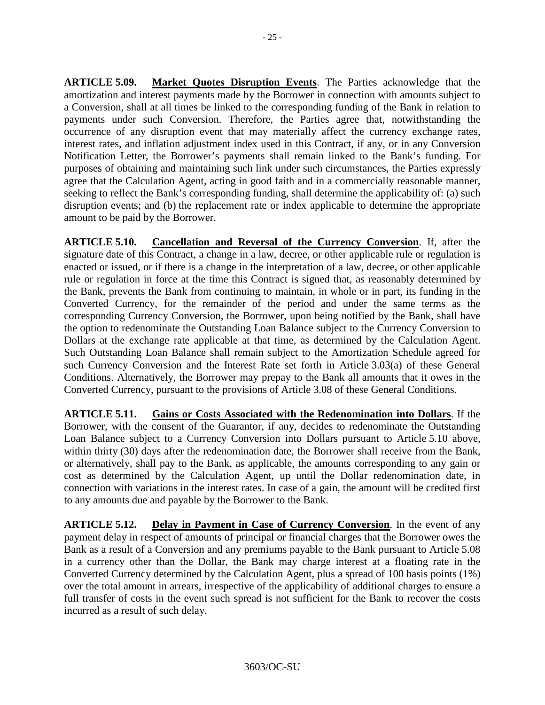**ARTICLE 5.09. Market Quotes Disruption Events**. The Parties acknowledge that the amortization and interest payments made by the Borrower in connection with amounts subject to a Conversion, shall at all times be linked to the corresponding funding of the Bank in relation to payments under such Conversion. Therefore, the Parties agree that, notwithstanding the occurrence of any disruption event that may materially affect the currency exchange rates, interest rates, and inflation adjustment index used in this Contract, if any, or in any Conversion Notification Letter, the Borrower's payments shall remain linked to the Bank's funding. For purposes of obtaining and maintaining such link under such circumstances, the Parties expressly agree that the Calculation Agent, acting in good faith and in a commercially reasonable manner, seeking to reflect the Bank's corresponding funding, shall determine the applicability of: (a) such disruption events; and (b) the replacement rate or index applicable to determine the appropriate amount to be paid by the Borrower.

**ARTICLE 5.10. Cancellation and Reversal of the Currency Conversion**. If, after the signature date of this Contract, a change in a law, decree, or other applicable rule or regulation is enacted or issued, or if there is a change in the interpretation of a law, decree, or other applicable rule or regulation in force at the time this Contract is signed that, as reasonably determined by the Bank, prevents the Bank from continuing to maintain, in whole or in part, its funding in the Converted Currency, for the remainder of the period and under the same terms as the corresponding Currency Conversion, the Borrower, upon being notified by the Bank, shall have the option to redenominate the Outstanding Loan Balance subject to the Currency Conversion to Dollars at the exchange rate applicable at that time, as determined by the Calculation Agent. Such Outstanding Loan Balance shall remain subject to the Amortization Schedule agreed for such Currency Conversion and the Interest Rate set forth in Article 3.03(a) of these General Conditions. Alternatively, the Borrower may prepay to the Bank all amounts that it owes in the Converted Currency, pursuant to the provisions of Article 3.08 of these General Conditions.

**ARTICLE 5.11. Gains or Costs Associated with the Redenomination into Dollars**. If the Borrower, with the consent of the Guarantor, if any, decides to redenominate the Outstanding Loan Balance subject to a Currency Conversion into Dollars pursuant to Article 5.10 above, within thirty (30) days after the redenomination date, the Borrower shall receive from the Bank, or alternatively, shall pay to the Bank, as applicable, the amounts corresponding to any gain or cost as determined by the Calculation Agent, up until the Dollar redenomination date, in connection with variations in the interest rates. In case of a gain, the amount will be credited first to any amounts due and payable by the Borrower to the Bank.

**ARTICLE 5.12. Delay in Payment in Case of Currency Conversion**. In the event of any payment delay in respect of amounts of principal or financial charges that the Borrower owes the Bank as a result of a Conversion and any premiums payable to the Bank pursuant to Article 5.08 in a currency other than the Dollar, the Bank may charge interest at a floating rate in the Converted Currency determined by the Calculation Agent, plus a spread of 100 basis points (1%) over the total amount in arrears, irrespective of the applicability of additional charges to ensure a full transfer of costs in the event such spread is not sufficient for the Bank to recover the costs incurred as a result of such delay.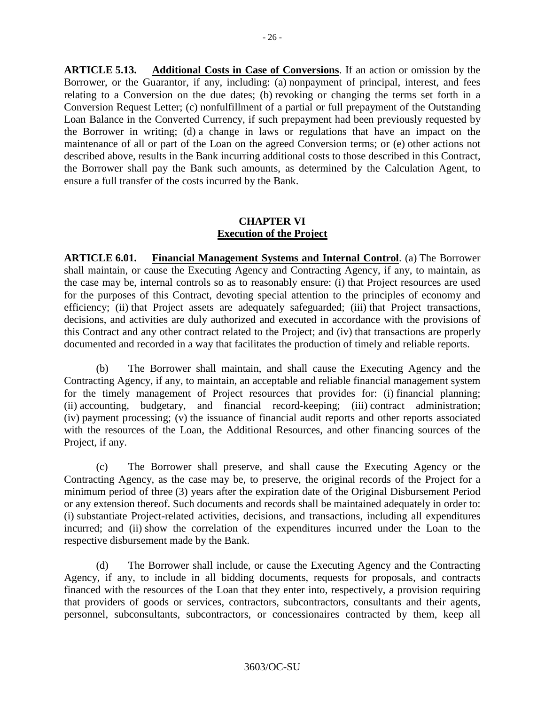**ARTICLE 5.13. Additional Costs in Case of Conversions**. If an action or omission by the Borrower, or the Guarantor, if any, including: (a) nonpayment of principal, interest, and fees relating to a Conversion on the due dates; (b) revoking or changing the terms set forth in a Conversion Request Letter; (c) nonfulfillment of a partial or full prepayment of the Outstanding Loan Balance in the Converted Currency, if such prepayment had been previously requested by the Borrower in writing; (d) a change in laws or regulations that have an impact on the maintenance of all or part of the Loan on the agreed Conversion terms; or (e) other actions not described above, results in the Bank incurring additional costs to those described in this Contract, the Borrower shall pay the Bank such amounts, as determined by the Calculation Agent, to ensure a full transfer of the costs incurred by the Bank.

#### **CHAPTER VI Execution of the Project**

**ARTICLE 6.01. Financial Management Systems and Internal Control**. (a) The Borrower shall maintain, or cause the Executing Agency and Contracting Agency, if any, to maintain, as the case may be, internal controls so as to reasonably ensure: (i) that Project resources are used for the purposes of this Contract, devoting special attention to the principles of economy and efficiency; (ii) that Project assets are adequately safeguarded; (iii) that Project transactions, decisions, and activities are duly authorized and executed in accordance with the provisions of this Contract and any other contract related to the Project; and (iv) that transactions are properly documented and recorded in a way that facilitates the production of timely and reliable reports.

(b) The Borrower shall maintain, and shall cause the Executing Agency and the Contracting Agency, if any, to maintain, an acceptable and reliable financial management system for the timely management of Project resources that provides for: (i) financial planning; (ii) accounting, budgetary, and financial record-keeping; (iii) contract administration; (iv) payment processing; (v) the issuance of financial audit reports and other reports associated with the resources of the Loan, the Additional Resources, and other financing sources of the Project, if any.

(c) The Borrower shall preserve, and shall cause the Executing Agency or the Contracting Agency, as the case may be, to preserve, the original records of the Project for a minimum period of three (3) years after the expiration date of the Original Disbursement Period or any extension thereof. Such documents and records shall be maintained adequately in order to: (i) substantiate Project-related activities, decisions, and transactions, including all expenditures incurred; and (ii) show the correlation of the expenditures incurred under the Loan to the respective disbursement made by the Bank.

(d) The Borrower shall include, or cause the Executing Agency and the Contracting Agency, if any, to include in all bidding documents, requests for proposals, and contracts financed with the resources of the Loan that they enter into, respectively, a provision requiring that providers of goods or services, contractors, subcontractors, consultants and their agents, personnel, subconsultants, subcontractors, or concessionaires contracted by them, keep all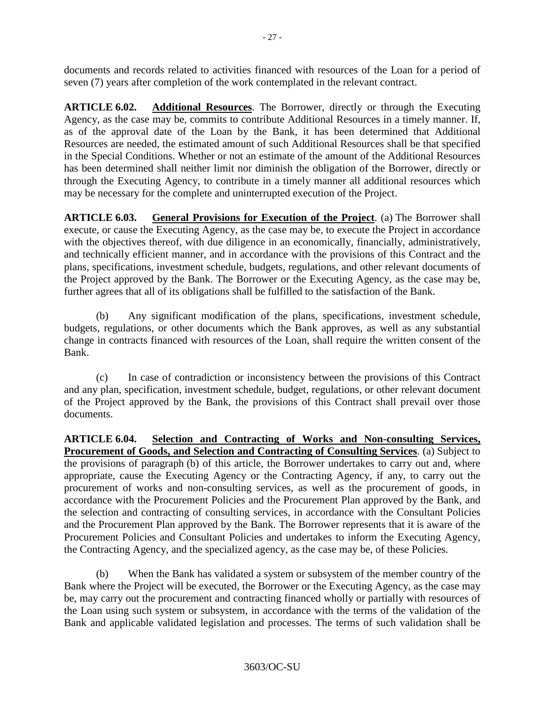documents and records related to activities financed with resources of the Loan for a period of seven (7) years after completion of the work contemplated in the relevant contract.

**ARTICLE 6.02. Additional Resources**. The Borrower, directly or through the Executing Agency, as the case may be, commits to contribute Additional Resources in a timely manner. If, as of the approval date of the Loan by the Bank, it has been determined that Additional Resources are needed, the estimated amount of such Additional Resources shall be that specified in the Special Conditions. Whether or not an estimate of the amount of the Additional Resources has been determined shall neither limit nor diminish the obligation of the Borrower, directly or through the Executing Agency, to contribute in a timely manner all additional resources which may be necessary for the complete and uninterrupted execution of the Project.

**ARTICLE 6.03. General Provisions for Execution of the Project**. (a) The Borrower shall execute, or cause the Executing Agency, as the case may be, to execute the Project in accordance with the objectives thereof, with due diligence in an economically, financially, administratively, and technically efficient manner, and in accordance with the provisions of this Contract and the plans, specifications, investment schedule, budgets, regulations, and other relevant documents of the Project approved by the Bank. The Borrower or the Executing Agency, as the case may be, further agrees that all of its obligations shall be fulfilled to the satisfaction of the Bank.

(b) Any significant modification of the plans, specifications, investment schedule, budgets, regulations, or other documents which the Bank approves, as well as any substantial change in contracts financed with resources of the Loan, shall require the written consent of the Bank.

(c) In case of contradiction or inconsistency between the provisions of this Contract and any plan, specification, investment schedule, budget, regulations, or other relevant document of the Project approved by the Bank, the provisions of this Contract shall prevail over those documents.

**ARTICLE 6.04. Selection and Contracting of Works and Non-consulting Services, Procurement of Goods, and Selection and Contracting of Consulting Services**. (a) Subject to the provisions of paragraph (b) of this article, the Borrower undertakes to carry out and, where appropriate, cause the Executing Agency or the Contracting Agency, if any, to carry out the procurement of works and non-consulting services, as well as the procurement of goods, in accordance with the Procurement Policies and the Procurement Plan approved by the Bank, and the selection and contracting of consulting services, in accordance with the Consultant Policies and the Procurement Plan approved by the Bank. The Borrower represents that it is aware of the Procurement Policies and Consultant Policies and undertakes to inform the Executing Agency, the Contracting Agency, and the specialized agency, as the case may be, of these Policies.

(b) When the Bank has validated a system or subsystem of the member country of the Bank where the Project will be executed, the Borrower or the Executing Agency, as the case may be, may carry out the procurement and contracting financed wholly or partially with resources of the Loan using such system or subsystem, in accordance with the terms of the validation of the Bank and applicable validated legislation and processes. The terms of such validation shall be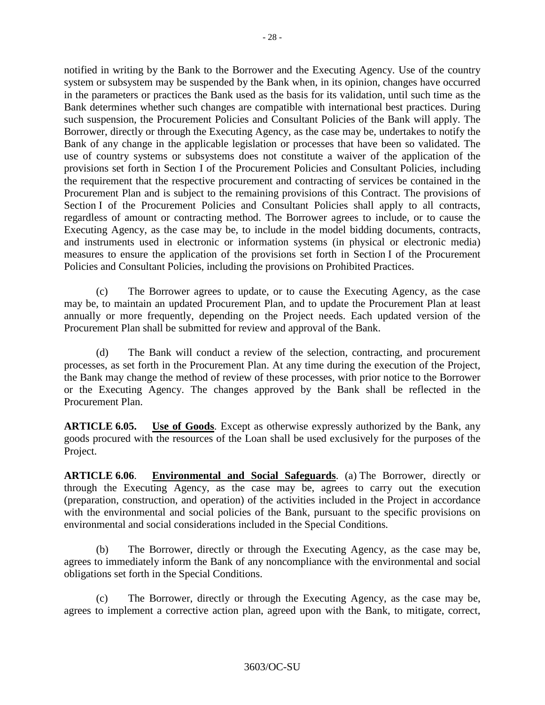notified in writing by the Bank to the Borrower and the Executing Agency. Use of the country system or subsystem may be suspended by the Bank when, in its opinion, changes have occurred in the parameters or practices the Bank used as the basis for its validation, until such time as the Bank determines whether such changes are compatible with international best practices. During such suspension, the Procurement Policies and Consultant Policies of the Bank will apply. The Borrower, directly or through the Executing Agency, as the case may be, undertakes to notify the Bank of any change in the applicable legislation or processes that have been so validated. The use of country systems or subsystems does not constitute a waiver of the application of the provisions set forth in Section I of the Procurement Policies and Consultant Policies, including the requirement that the respective procurement and contracting of services be contained in the Procurement Plan and is subject to the remaining provisions of this Contract. The provisions of Section I of the Procurement Policies and Consultant Policies shall apply to all contracts, regardless of amount or contracting method. The Borrower agrees to include, or to cause the Executing Agency, as the case may be, to include in the model bidding documents, contracts, and instruments used in electronic or information systems (in physical or electronic media) measures to ensure the application of the provisions set forth in Section I of the Procurement Policies and Consultant Policies, including the provisions on Prohibited Practices.

(c) The Borrower agrees to update, or to cause the Executing Agency, as the case may be, to maintain an updated Procurement Plan, and to update the Procurement Plan at least annually or more frequently, depending on the Project needs. Each updated version of the Procurement Plan shall be submitted for review and approval of the Bank.

(d) The Bank will conduct a review of the selection, contracting, and procurement processes, as set forth in the Procurement Plan. At any time during the execution of the Project, the Bank may change the method of review of these processes, with prior notice to the Borrower or the Executing Agency. The changes approved by the Bank shall be reflected in the Procurement Plan.

**ARTICLE 6.05. Use of Goods**. Except as otherwise expressly authorized by the Bank, any goods procured with the resources of the Loan shall be used exclusively for the purposes of the Project.

**ARTICLE 6.06**. **Environmental and Social Safeguards**. (a) The Borrower, directly or through the Executing Agency, as the case may be, agrees to carry out the execution (preparation, construction, and operation) of the activities included in the Project in accordance with the environmental and social policies of the Bank, pursuant to the specific provisions on environmental and social considerations included in the Special Conditions.

(b) The Borrower, directly or through the Executing Agency, as the case may be, agrees to immediately inform the Bank of any noncompliance with the environmental and social obligations set forth in the Special Conditions.

(c) The Borrower, directly or through the Executing Agency, as the case may be, agrees to implement a corrective action plan, agreed upon with the Bank, to mitigate, correct,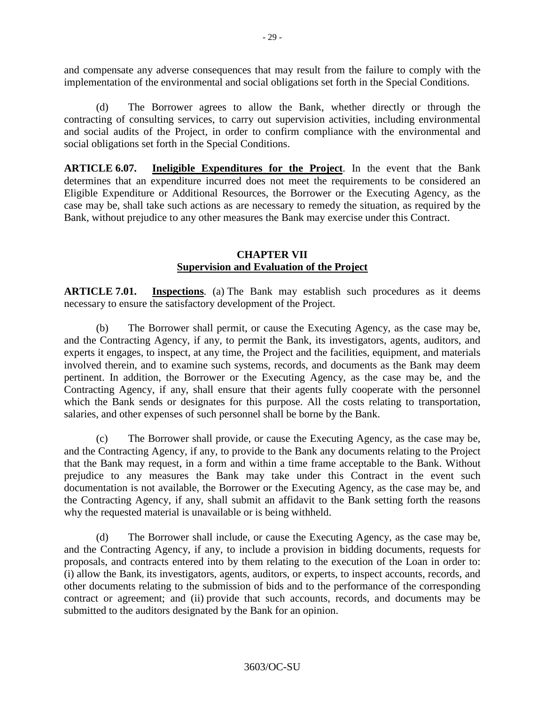and compensate any adverse consequences that may result from the failure to comply with the implementation of the environmental and social obligations set forth in the Special Conditions.

(d) The Borrower agrees to allow the Bank, whether directly or through the contracting of consulting services, to carry out supervision activities, including environmental and social audits of the Project, in order to confirm compliance with the environmental and social obligations set forth in the Special Conditions.

**ARTICLE 6.07. Ineligible Expenditures for the Project**. In the event that the Bank determines that an expenditure incurred does not meet the requirements to be considered an Eligible Expenditure or Additional Resources, the Borrower or the Executing Agency, as the case may be, shall take such actions as are necessary to remedy the situation, as required by the Bank, without prejudice to any other measures the Bank may exercise under this Contract.

#### **CHAPTER VII Supervision and Evaluation of the Project**

**ARTICLE 7.01. Inspections**. (a) The Bank may establish such procedures as it deems necessary to ensure the satisfactory development of the Project.

(b) The Borrower shall permit, or cause the Executing Agency, as the case may be, and the Contracting Agency, if any, to permit the Bank, its investigators, agents, auditors, and experts it engages, to inspect, at any time, the Project and the facilities, equipment, and materials involved therein, and to examine such systems, records, and documents as the Bank may deem pertinent. In addition, the Borrower or the Executing Agency, as the case may be, and the Contracting Agency, if any, shall ensure that their agents fully cooperate with the personnel which the Bank sends or designates for this purpose. All the costs relating to transportation, salaries, and other expenses of such personnel shall be borne by the Bank.

(c) The Borrower shall provide, or cause the Executing Agency, as the case may be, and the Contracting Agency, if any, to provide to the Bank any documents relating to the Project that the Bank may request, in a form and within a time frame acceptable to the Bank. Without prejudice to any measures the Bank may take under this Contract in the event such documentation is not available, the Borrower or the Executing Agency, as the case may be, and the Contracting Agency, if any, shall submit an affidavit to the Bank setting forth the reasons why the requested material is unavailable or is being withheld.

(d) The Borrower shall include, or cause the Executing Agency, as the case may be, and the Contracting Agency, if any, to include a provision in bidding documents, requests for proposals, and contracts entered into by them relating to the execution of the Loan in order to: (i) allow the Bank, its investigators, agents, auditors, or experts, to inspect accounts, records, and other documents relating to the submission of bids and to the performance of the corresponding contract or agreement; and (ii) provide that such accounts, records, and documents may be submitted to the auditors designated by the Bank for an opinion.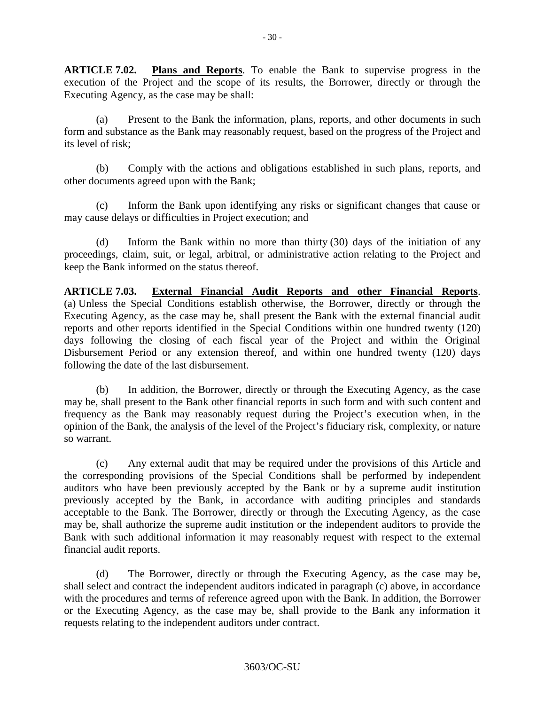**ARTICLE 7.02. Plans and Reports**. To enable the Bank to supervise progress in the execution of the Project and the scope of its results, the Borrower, directly or through the Executing Agency, as the case may be shall:

(a) Present to the Bank the information, plans, reports, and other documents in such form and substance as the Bank may reasonably request, based on the progress of the Project and its level of risk;

(b) Comply with the actions and obligations established in such plans, reports, and other documents agreed upon with the Bank;

(c) Inform the Bank upon identifying any risks or significant changes that cause or may cause delays or difficulties in Project execution; and

(d) Inform the Bank within no more than thirty (30) days of the initiation of any proceedings, claim, suit, or legal, arbitral, or administrative action relating to the Project and keep the Bank informed on the status thereof.

**ARTICLE 7.03. External Financial Audit Reports and other Financial Reports**. (a) Unless the Special Conditions establish otherwise, the Borrower, directly or through the Executing Agency, as the case may be, shall present the Bank with the external financial audit reports and other reports identified in the Special Conditions within one hundred twenty (120) days following the closing of each fiscal year of the Project and within the Original Disbursement Period or any extension thereof, and within one hundred twenty (120) days following the date of the last disbursement.

(b) In addition, the Borrower, directly or through the Executing Agency, as the case may be, shall present to the Bank other financial reports in such form and with such content and frequency as the Bank may reasonably request during the Project's execution when, in the opinion of the Bank, the analysis of the level of the Project's fiduciary risk, complexity, or nature so warrant.

(c) Any external audit that may be required under the provisions of this Article and the corresponding provisions of the Special Conditions shall be performed by independent auditors who have been previously accepted by the Bank or by a supreme audit institution previously accepted by the Bank, in accordance with auditing principles and standards acceptable to the Bank. The Borrower, directly or through the Executing Agency, as the case may be, shall authorize the supreme audit institution or the independent auditors to provide the Bank with such additional information it may reasonably request with respect to the external financial audit reports.

(d) The Borrower, directly or through the Executing Agency, as the case may be, shall select and contract the independent auditors indicated in paragraph (c) above, in accordance with the procedures and terms of reference agreed upon with the Bank. In addition, the Borrower or the Executing Agency, as the case may be, shall provide to the Bank any information it requests relating to the independent auditors under contract.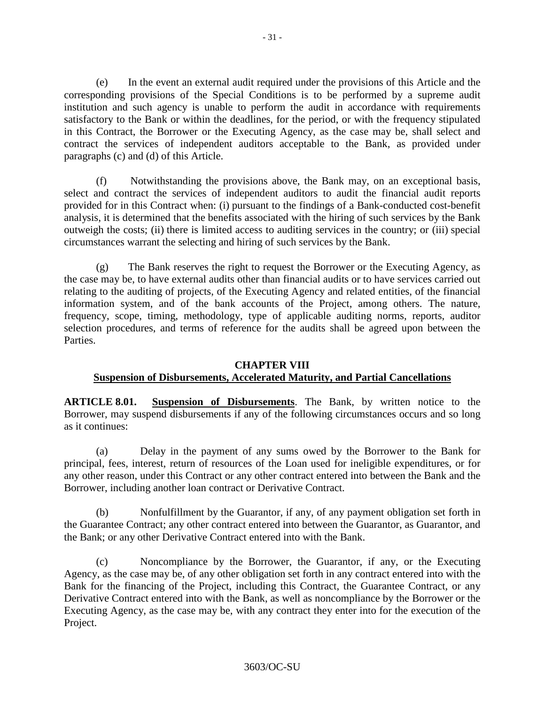(e) In the event an external audit required under the provisions of this Article and the corresponding provisions of the Special Conditions is to be performed by a supreme audit institution and such agency is unable to perform the audit in accordance with requirements satisfactory to the Bank or within the deadlines, for the period, or with the frequency stipulated in this Contract, the Borrower or the Executing Agency, as the case may be, shall select and contract the services of independent auditors acceptable to the Bank, as provided under paragraphs (c) and (d) of this Article.

(f) Notwithstanding the provisions above, the Bank may, on an exceptional basis, select and contract the services of independent auditors to audit the financial audit reports provided for in this Contract when: (i) pursuant to the findings of a Bank-conducted cost-benefit analysis, it is determined that the benefits associated with the hiring of such services by the Bank outweigh the costs; (ii) there is limited access to auditing services in the country; or (iii) special circumstances warrant the selecting and hiring of such services by the Bank.

(g) The Bank reserves the right to request the Borrower or the Executing Agency, as the case may be, to have external audits other than financial audits or to have services carried out relating to the auditing of projects, of the Executing Agency and related entities, of the financial information system, and of the bank accounts of the Project, among others. The nature, frequency, scope, timing, methodology, type of applicable auditing norms, reports, auditor selection procedures, and terms of reference for the audits shall be agreed upon between the Parties.

# **CHAPTER VIII Suspension of Disbursements, Accelerated Maturity, and Partial Cancellations**

**ARTICLE 8.01. Suspension of Disbursements**. The Bank, by written notice to the Borrower, may suspend disbursements if any of the following circumstances occurs and so long as it continues:

(a) Delay in the payment of any sums owed by the Borrower to the Bank for principal, fees, interest, return of resources of the Loan used for ineligible expenditures, or for any other reason, under this Contract or any other contract entered into between the Bank and the Borrower, including another loan contract or Derivative Contract.

(b) Nonfulfillment by the Guarantor, if any, of any payment obligation set forth in the Guarantee Contract; any other contract entered into between the Guarantor, as Guarantor, and the Bank; or any other Derivative Contract entered into with the Bank.

(c) Noncompliance by the Borrower, the Guarantor, if any, or the Executing Agency, as the case may be, of any other obligation set forth in any contract entered into with the Bank for the financing of the Project, including this Contract, the Guarantee Contract, or any Derivative Contract entered into with the Bank, as well as noncompliance by the Borrower or the Executing Agency, as the case may be, with any contract they enter into for the execution of the Project.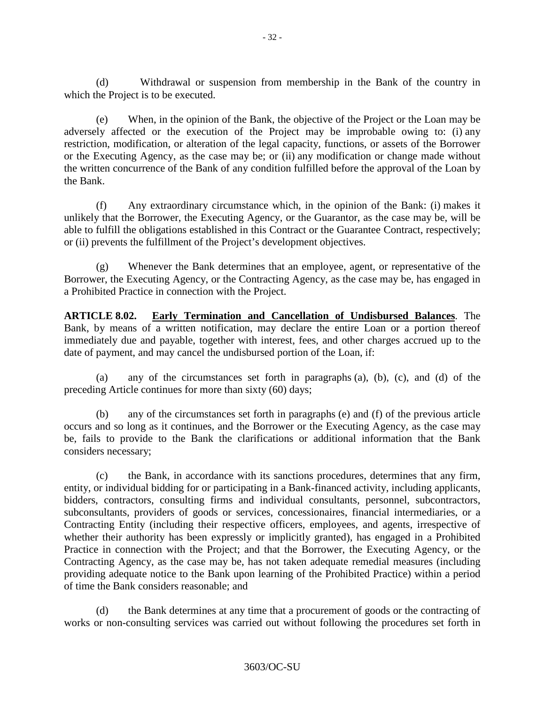(d) Withdrawal or suspension from membership in the Bank of the country in which the Project is to be executed.

(e) When, in the opinion of the Bank, the objective of the Project or the Loan may be adversely affected or the execution of the Project may be improbable owing to: (i) any restriction, modification, or alteration of the legal capacity, functions, or assets of the Borrower or the Executing Agency, as the case may be; or (ii) any modification or change made without the written concurrence of the Bank of any condition fulfilled before the approval of the Loan by the Bank.

(f) Any extraordinary circumstance which, in the opinion of the Bank: (i) makes it unlikely that the Borrower, the Executing Agency, or the Guarantor, as the case may be, will be able to fulfill the obligations established in this Contract or the Guarantee Contract, respectively; or (ii) prevents the fulfillment of the Project's development objectives.

(g) Whenever the Bank determines that an employee, agent, or representative of the Borrower, the Executing Agency, or the Contracting Agency, as the case may be, has engaged in a Prohibited Practice in connection with the Project.

**ARTICLE 8.02. Early Termination and Cancellation of Undisbursed Balances**. The Bank, by means of a written notification, may declare the entire Loan or a portion thereof immediately due and payable, together with interest, fees, and other charges accrued up to the date of payment, and may cancel the undisbursed portion of the Loan, if:

(a) any of the circumstances set forth in paragraphs (a), (b), (c), and (d) of the preceding Article continues for more than sixty (60) days;

(b) any of the circumstances set forth in paragraphs (e) and (f) of the previous article occurs and so long as it continues, and the Borrower or the Executing Agency, as the case may be, fails to provide to the Bank the clarifications or additional information that the Bank considers necessary;

(c) the Bank, in accordance with its sanctions procedures, determines that any firm, entity, or individual bidding for or participating in a Bank-financed activity, including applicants, bidders, contractors, consulting firms and individual consultants, personnel, subcontractors, subconsultants, providers of goods or services, concessionaires, financial intermediaries, or a Contracting Entity (including their respective officers, employees, and agents, irrespective of whether their authority has been expressly or implicitly granted), has engaged in a Prohibited Practice in connection with the Project; and that the Borrower, the Executing Agency, or the Contracting Agency, as the case may be, has not taken adequate remedial measures (including providing adequate notice to the Bank upon learning of the Prohibited Practice) within a period of time the Bank considers reasonable; and

(d) the Bank determines at any time that a procurement of goods or the contracting of works or non-consulting services was carried out without following the procedures set forth in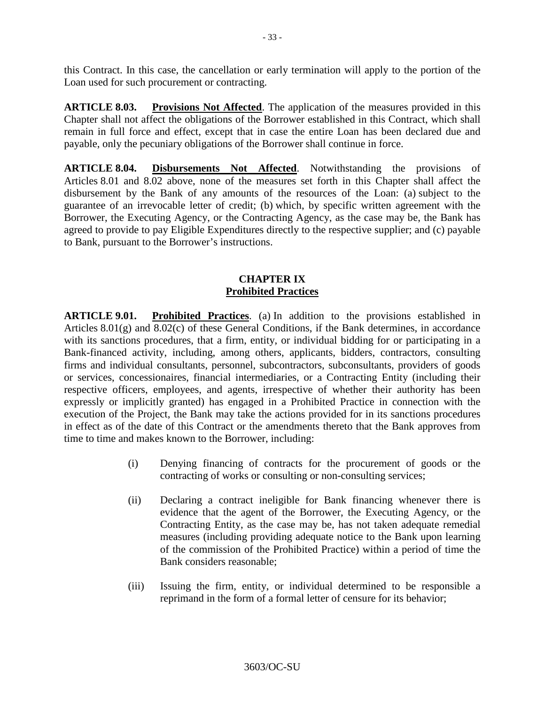this Contract. In this case, the cancellation or early termination will apply to the portion of the Loan used for such procurement or contracting.

**ARTICLE 8.03.** Provisions Not Affected. The application of the measures provided in this Chapter shall not affect the obligations of the Borrower established in this Contract, which shall remain in full force and effect, except that in case the entire Loan has been declared due and payable, only the pecuniary obligations of the Borrower shall continue in force.

**ARTICLE 8.04. Disbursements Not Affected**. Notwithstanding the provisions of Articles 8.01 and 8.02 above, none of the measures set forth in this Chapter shall affect the disbursement by the Bank of any amounts of the resources of the Loan: (a) subject to the guarantee of an irrevocable letter of credit; (b) which, by specific written agreement with the Borrower, the Executing Agency, or the Contracting Agency, as the case may be, the Bank has agreed to provide to pay Eligible Expenditures directly to the respective supplier; and (c) payable to Bank, pursuant to the Borrower's instructions.

### **CHAPTER IX Prohibited Practices**

**ARTICLE 9.01. Prohibited Practices**. (a) In addition to the provisions established in Articles 8.01(g) and 8.02(c) of these General Conditions, if the Bank determines, in accordance with its sanctions procedures, that a firm, entity, or individual bidding for or participating in a Bank-financed activity, including, among others, applicants, bidders, contractors, consulting firms and individual consultants, personnel, subcontractors, subconsultants, providers of goods or services, concessionaires, financial intermediaries, or a Contracting Entity (including their respective officers, employees, and agents, irrespective of whether their authority has been expressly or implicitly granted) has engaged in a Prohibited Practice in connection with the execution of the Project, the Bank may take the actions provided for in its sanctions procedures in effect as of the date of this Contract or the amendments thereto that the Bank approves from time to time and makes known to the Borrower, including:

- (i) Denying financing of contracts for the procurement of goods or the contracting of works or consulting or non-consulting services;
- (ii) Declaring a contract ineligible for Bank financing whenever there is evidence that the agent of the Borrower, the Executing Agency, or the Contracting Entity, as the case may be, has not taken adequate remedial measures (including providing adequate notice to the Bank upon learning of the commission of the Prohibited Practice) within a period of time the Bank considers reasonable;
- (iii) Issuing the firm, entity, or individual determined to be responsible a reprimand in the form of a formal letter of censure for its behavior;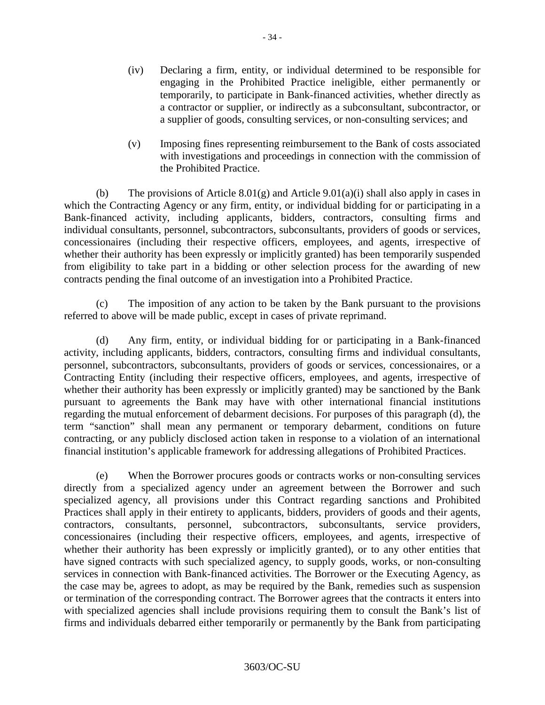- (iv) Declaring a firm, entity, or individual determined to be responsible for engaging in the Prohibited Practice ineligible, either permanently or temporarily, to participate in Bank-financed activities, whether directly as a contractor or supplier, or indirectly as a subconsultant, subcontractor, or a supplier of goods, consulting services, or non-consulting services; and
- (v) Imposing fines representing reimbursement to the Bank of costs associated with investigations and proceedings in connection with the commission of the Prohibited Practice.

(b) The provisions of Article 8.01(g) and Article 9.01(a)(i) shall also apply in cases in which the Contracting Agency or any firm, entity, or individual bidding for or participating in a Bank-financed activity, including applicants, bidders, contractors, consulting firms and individual consultants, personnel, subcontractors, subconsultants, providers of goods or services, concessionaires (including their respective officers, employees, and agents, irrespective of whether their authority has been expressly or implicitly granted) has been temporarily suspended from eligibility to take part in a bidding or other selection process for the awarding of new contracts pending the final outcome of an investigation into a Prohibited Practice.

(c) The imposition of any action to be taken by the Bank pursuant to the provisions referred to above will be made public, except in cases of private reprimand.

(d) Any firm, entity, or individual bidding for or participating in a Bank-financed activity, including applicants, bidders, contractors, consulting firms and individual consultants, personnel, subcontractors, subconsultants, providers of goods or services, concessionaires, or a Contracting Entity (including their respective officers, employees, and agents, irrespective of whether their authority has been expressly or implicitly granted) may be sanctioned by the Bank pursuant to agreements the Bank may have with other international financial institutions regarding the mutual enforcement of debarment decisions. For purposes of this paragraph (d), the term "sanction" shall mean any permanent or temporary debarment, conditions on future contracting, or any publicly disclosed action taken in response to a violation of an international financial institution's applicable framework for addressing allegations of Prohibited Practices.

(e) When the Borrower procures goods or contracts works or non-consulting services directly from a specialized agency under an agreement between the Borrower and such specialized agency, all provisions under this Contract regarding sanctions and Prohibited Practices shall apply in their entirety to applicants, bidders, providers of goods and their agents, contractors, consultants, personnel, subcontractors, subconsultants, service providers, concessionaires (including their respective officers, employees, and agents, irrespective of whether their authority has been expressly or implicitly granted), or to any other entities that have signed contracts with such specialized agency, to supply goods, works, or non-consulting services in connection with Bank-financed activities. The Borrower or the Executing Agency, as the case may be, agrees to adopt, as may be required by the Bank, remedies such as suspension or termination of the corresponding contract. The Borrower agrees that the contracts it enters into with specialized agencies shall include provisions requiring them to consult the Bank's list of firms and individuals debarred either temporarily or permanently by the Bank from participating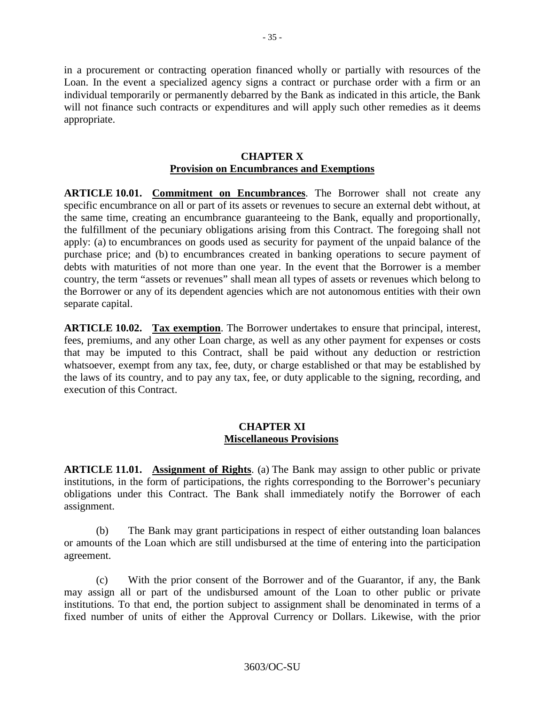in a procurement or contracting operation financed wholly or partially with resources of the Loan. In the event a specialized agency signs a contract or purchase order with a firm or an individual temporarily or permanently debarred by the Bank as indicated in this article, the Bank will not finance such contracts or expenditures and will apply such other remedies as it deems appropriate.

### **CHAPTER X Provision on Encumbrances and Exemptions**

**ARTICLE 10.01. Commitment on Encumbrances**. The Borrower shall not create any specific encumbrance on all or part of its assets or revenues to secure an external debt without, at the same time, creating an encumbrance guaranteeing to the Bank, equally and proportionally, the fulfillment of the pecuniary obligations arising from this Contract. The foregoing shall not apply: (a) to encumbrances on goods used as security for payment of the unpaid balance of the purchase price; and (b) to encumbrances created in banking operations to secure payment of debts with maturities of not more than one year. In the event that the Borrower is a member country, the term "assets or revenues" shall mean all types of assets or revenues which belong to the Borrower or any of its dependent agencies which are not autonomous entities with their own separate capital.

**ARTICLE 10.02. Tax exemption**. The Borrower undertakes to ensure that principal, interest, fees, premiums, and any other Loan charge, as well as any other payment for expenses or costs that may be imputed to this Contract, shall be paid without any deduction or restriction whatsoever, exempt from any tax, fee, duty, or charge established or that may be established by the laws of its country, and to pay any tax, fee, or duty applicable to the signing, recording, and execution of this Contract.

## **CHAPTER XI Miscellaneous Provisions**

**ARTICLE 11.01. Assignment of Rights**. (a) The Bank may assign to other public or private institutions, in the form of participations, the rights corresponding to the Borrower's pecuniary obligations under this Contract. The Bank shall immediately notify the Borrower of each assignment.

(b) The Bank may grant participations in respect of either outstanding loan balances or amounts of the Loan which are still undisbursed at the time of entering into the participation agreement.

(c) With the prior consent of the Borrower and of the Guarantor, if any, the Bank may assign all or part of the undisbursed amount of the Loan to other public or private institutions. To that end, the portion subject to assignment shall be denominated in terms of a fixed number of units of either the Approval Currency or Dollars. Likewise, with the prior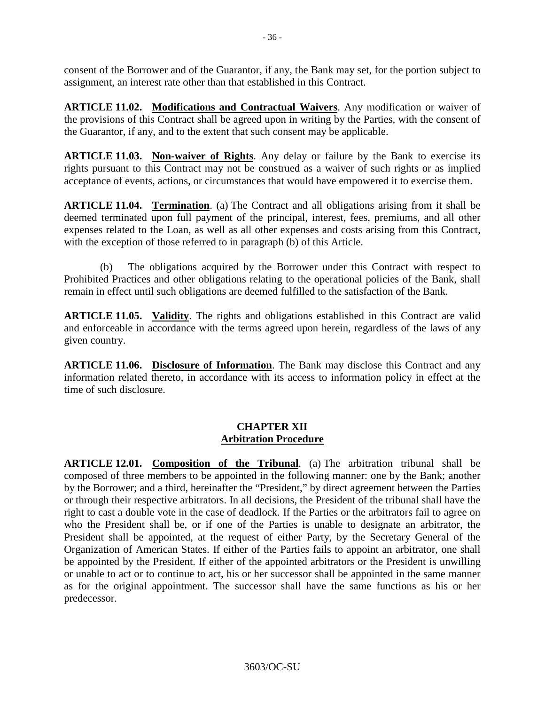consent of the Borrower and of the Guarantor, if any, the Bank may set, for the portion subject to assignment, an interest rate other than that established in this Contract.

**ARTICLE 11.02. Modifications and Contractual Waivers**. Any modification or waiver of the provisions of this Contract shall be agreed upon in writing by the Parties, with the consent of the Guarantor, if any, and to the extent that such consent may be applicable.

**ARTICLE 11.03. Non-waiver of Rights**. Any delay or failure by the Bank to exercise its rights pursuant to this Contract may not be construed as a waiver of such rights or as implied acceptance of events, actions, or circumstances that would have empowered it to exercise them.

**ARTICLE 11.04. Termination**. (a) The Contract and all obligations arising from it shall be deemed terminated upon full payment of the principal, interest, fees, premiums, and all other expenses related to the Loan, as well as all other expenses and costs arising from this Contract, with the exception of those referred to in paragraph (b) of this Article.

(b) The obligations acquired by the Borrower under this Contract with respect to Prohibited Practices and other obligations relating to the operational policies of the Bank, shall remain in effect until such obligations are deemed fulfilled to the satisfaction of the Bank.

**ARTICLE 11.05. Validity**. The rights and obligations established in this Contract are valid and enforceable in accordance with the terms agreed upon herein, regardless of the laws of any given country.

**ARTICLE 11.06. Disclosure of Information**. The Bank may disclose this Contract and any information related thereto, in accordance with its access to information policy in effect at the time of such disclosure.

## **CHAPTER XII Arbitration Procedure**

**ARTICLE 12.01. Composition of the Tribunal**. (a) The arbitration tribunal shall be composed of three members to be appointed in the following manner: one by the Bank; another by the Borrower; and a third, hereinafter the "President," by direct agreement between the Parties or through their respective arbitrators. In all decisions, the President of the tribunal shall have the right to cast a double vote in the case of deadlock. If the Parties or the arbitrators fail to agree on who the President shall be, or if one of the Parties is unable to designate an arbitrator, the President shall be appointed, at the request of either Party, by the Secretary General of the Organization of American States. If either of the Parties fails to appoint an arbitrator, one shall be appointed by the President. If either of the appointed arbitrators or the President is unwilling or unable to act or to continue to act, his or her successor shall be appointed in the same manner as for the original appointment. The successor shall have the same functions as his or her predecessor.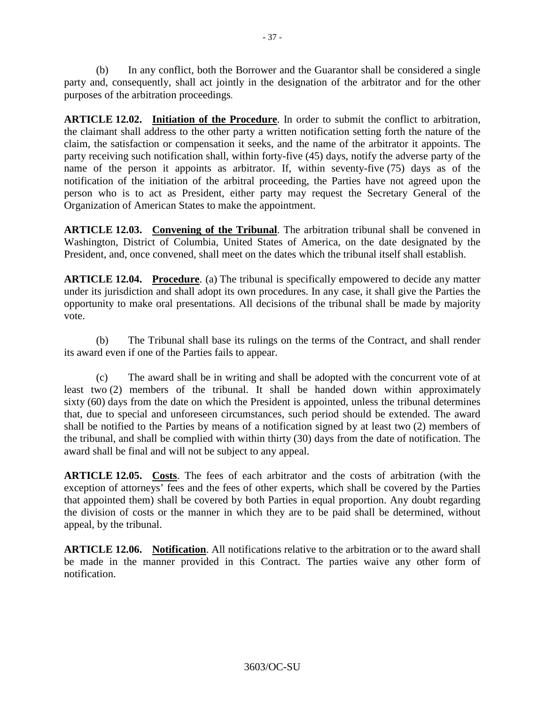(b) In any conflict, both the Borrower and the Guarantor shall be considered a single party and, consequently, shall act jointly in the designation of the arbitrator and for the other purposes of the arbitration proceedings.

**ARTICLE 12.02. Initiation of the Procedure**. In order to submit the conflict to arbitration, the claimant shall address to the other party a written notification setting forth the nature of the claim, the satisfaction or compensation it seeks, and the name of the arbitrator it appoints. The party receiving such notification shall, within forty-five (45) days, notify the adverse party of the name of the person it appoints as arbitrator. If, within seventy-five (75) days as of the notification of the initiation of the arbitral proceeding, the Parties have not agreed upon the person who is to act as President, either party may request the Secretary General of the Organization of American States to make the appointment.

**ARTICLE 12.03. Convening of the Tribunal**. The arbitration tribunal shall be convened in Washington, District of Columbia, United States of America, on the date designated by the President, and, once convened, shall meet on the dates which the tribunal itself shall establish.

**ARTICLE 12.04. Procedure**. (a) The tribunal is specifically empowered to decide any matter under its jurisdiction and shall adopt its own procedures. In any case, it shall give the Parties the opportunity to make oral presentations. All decisions of the tribunal shall be made by majority vote.

(b) The Tribunal shall base its rulings on the terms of the Contract, and shall render its award even if one of the Parties fails to appear.

(c) The award shall be in writing and shall be adopted with the concurrent vote of at least two (2) members of the tribunal. It shall be handed down within approximately sixty (60) days from the date on which the President is appointed, unless the tribunal determines that, due to special and unforeseen circumstances, such period should be extended. The award shall be notified to the Parties by means of a notification signed by at least two (2) members of the tribunal, and shall be complied with within thirty (30) days from the date of notification. The award shall be final and will not be subject to any appeal.

**ARTICLE 12.05. Costs**. The fees of each arbitrator and the costs of arbitration (with the exception of attorneys' fees and the fees of other experts, which shall be covered by the Parties that appointed them) shall be covered by both Parties in equal proportion. Any doubt regarding the division of costs or the manner in which they are to be paid shall be determined, without appeal, by the tribunal.

**ARTICLE 12.06. Notification**. All notifications relative to the arbitration or to the award shall be made in the manner provided in this Contract. The parties waive any other form of notification.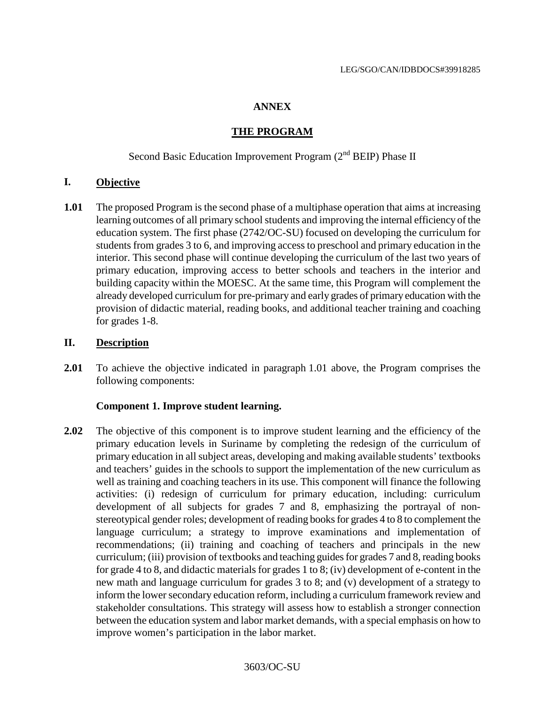#### **ANNEX**

### **THE PROGRAM**

# Second Basic Education Improvement Program  $(2^{nd}$  BEIP) Phase II

### **I. Objective**

**1.01** The proposed Program is the second phase of a multiphase operation that aims at increasing learning outcomes of all primary school students and improving the internal efficiency of the education system. The first phase (2742/OC-SU) focused on developing the curriculum for students from grades 3 to 6, and improving access to preschool and primary education in the interior. This second phase will continue developing the curriculum of the last two years of primary education, improving access to better schools and teachers in the interior and building capacity within the MOESC. At the same time, this Program will complement the already developed curriculum for pre-primary and early grades of primary education with the provision of didactic material, reading books, and additional teacher training and coaching for grades 1-8.

### **II. Description**

**2.01** To achieve the objective indicated in paragraph 1.01 above, the Program comprises the following components:

#### **Component 1. Improve student learning.**

2.02 The objective of this component is to improve student learning and the efficiency of the primary education levels in Suriname by completing the redesign of the curriculum of primary education in all subject areas, developing and making available students' textbooks and teachers' guides in the schools to support the implementation of the new curriculum as well as training and coaching teachers in its use. This component will finance the following activities: (i) redesign of curriculum for primary education, including: curriculum development of all subjects for grades 7 and 8, emphasizing the portrayal of nonstereotypical gender roles; development of reading books for grades 4 to 8 to complement the language curriculum; a strategy to improve examinations and implementation of recommendations; (ii) training and coaching of teachers and principals in the new curriculum; (iii) provision of textbooks and teaching guides for grades 7 and 8, reading books for grade 4 to 8, and didactic materials for grades 1 to 8; (iv) development of e-content in the new math and language curriculum for grades 3 to 8; and (v) development of a strategy to inform the lower secondary education reform, including a curriculum framework review and stakeholder consultations. This strategy will assess how to establish a stronger connection between the education system and labor market demands, with a special emphasis on how to improve women's participation in the labor market.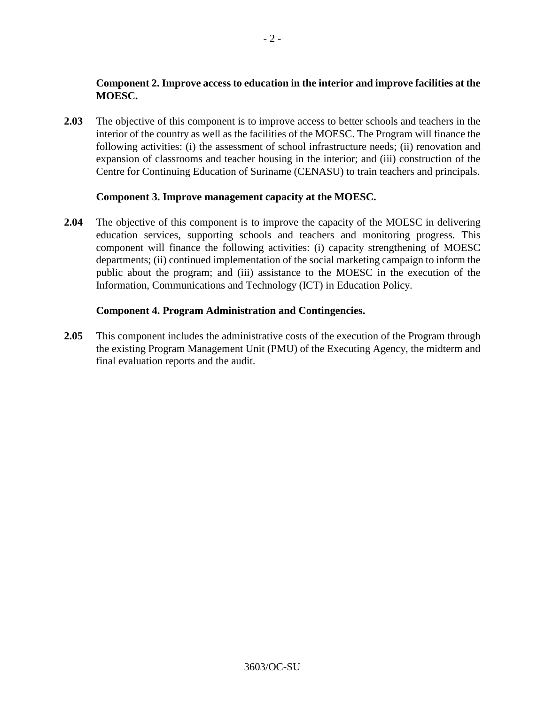# **Component 2. Improve access to education in the interior and improve facilities at the MOESC.**

**2.03** The objective of this component is to improve access to better schools and teachers in the interior of the country as well as the facilities of the MOESC. The Program will finance the following activities: (i) the assessment of school infrastructure needs; (ii) renovation and expansion of classrooms and teacher housing in the interior; and (iii) construction of the Centre for Continuing Education of Suriname (CENASU) to train teachers and principals.

### **Component 3. Improve management capacity at the MOESC.**

**2.04** The objective of this component is to improve the capacity of the MOESC in delivering education services, supporting schools and teachers and monitoring progress. This component will finance the following activities: (i) capacity strengthening of MOESC departments; (ii) continued implementation of the social marketing campaign to inform the public about the program; and (iii) assistance to the MOESC in the execution of the Information, Communications and Technology (ICT) in Education Policy.

### **Component 4. Program Administration and Contingencies.**

**2.05** This component includes the administrative costs of the execution of the Program through the existing Program Management Unit (PMU) of the Executing Agency, the midterm and final evaluation reports and the audit.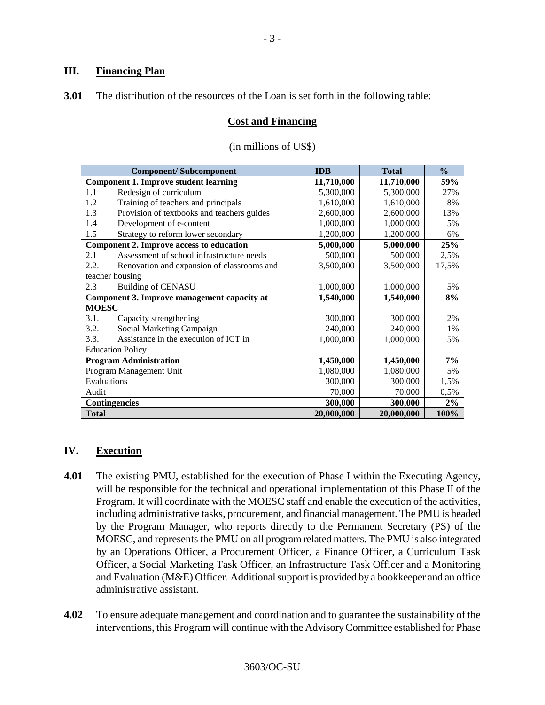### **III. Financing Plan**

**3.01** The distribution of the resources of the Loan is set forth in the following table:

### **Cost and Financing**

| <b>Component/Subcomponent</b>                |                                            | <b>IDB</b> | <b>Total</b> | $\frac{0}{0}$ |
|----------------------------------------------|--------------------------------------------|------------|--------------|---------------|
| <b>Component 1. Improve student learning</b> |                                            | 11,710,000 | 11,710,000   | 59%           |
| 1.1                                          | Redesign of curriculum                     | 5,300,000  | 5,300,000    | 27%           |
| 1.2                                          | Training of teachers and principals        | 1,610,000  | 1,610,000    | 8%            |
| 1.3                                          | Provision of textbooks and teachers guides | 2,600,000  | 2,600,000    | 13%           |
| 1.4                                          | Development of e-content                   | 1,000,000  | 1,000,000    | 5%            |
| 1.5                                          | Strategy to reform lower secondary         | 1,200,000  | 1,200,000    | 6%            |
| Component 2. Improve access to education     |                                            | 5,000,000  | 5,000,000    | 25%           |
| 2.1                                          | Assessment of school infrastructure needs  | 500,000    | 500,000      | 2,5%          |
| 2.2.                                         | Renovation and expansion of classrooms and | 3,500,000  | 3,500,000    | 17,5%         |
| teacher housing                              |                                            |            |              |               |
| 2.3                                          | <b>Building of CENASU</b>                  | 1,000,000  | 1,000,000    | 5%            |
| Component 3. Improve management capacity at  |                                            | 1,540,000  | 1,540,000    | 8%            |
| <b>MOESC</b>                                 |                                            |            |              |               |
| 3.1.                                         | Capacity strengthening                     | 300,000    | 300,000      | 2%            |
| 3.2.                                         | Social Marketing Campaign                  | 240,000    | 240,000      | 1%            |
| 3.3.                                         | Assistance in the execution of ICT in      | 1,000,000  | 1,000,000    | 5%            |
| <b>Education Policy</b>                      |                                            |            |              |               |
| <b>Program Administration</b>                |                                            | 1,450,000  | 1,450,000    | 7%            |
| Program Management Unit                      |                                            | 1,080,000  | 1,080,000    | 5%            |
| Evaluations                                  |                                            | 300,000    | 300,000      | 1,5%          |
| Audit                                        |                                            | 70,000     | 70,000       | 0,5%          |
| <b>Contingencies</b>                         |                                            | 300,000    | 300,000      | 2%            |
| <b>Total</b>                                 |                                            | 20,000,000 | 20,000,000   | 100%          |

### (in millions of US\$)

#### **IV. Execution**

- **4.01** The existing PMU, established for the execution of Phase I within the Executing Agency, will be responsible for the technical and operational implementation of this Phase II of the Program. It will coordinate with the MOESC staff and enable the execution of the activities, including administrative tasks, procurement, and financial management. The PMU is headed by the Program Manager, who reports directly to the Permanent Secretary (PS) of the MOESC, and represents the PMU on all program related matters. The PMU is also integrated by an Operations Officer, a Procurement Officer, a Finance Officer, a Curriculum Task Officer, a Social Marketing Task Officer, an Infrastructure Task Officer and a Monitoring and Evaluation (M&E) Officer. Additional support is provided by a bookkeeper and an office administrative assistant.
- **4.02** To ensure adequate management and coordination and to guarantee the sustainability of the interventions, this Program will continue with the Advisory Committee established for Phase